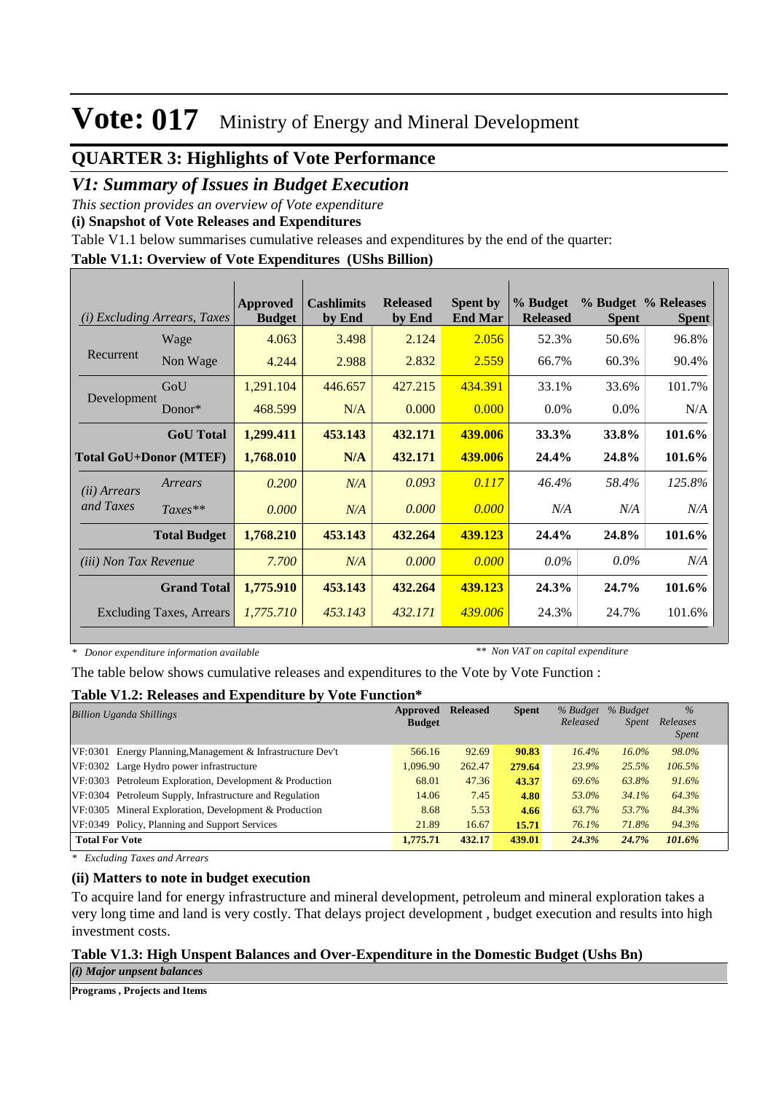### **QUARTER 3: Highlights of Vote Performance**

### *V1: Summary of Issues in Budget Execution*

*This section provides an overview of Vote expenditure* 

**(i) Snapshot of Vote Releases and Expenditures**

Table V1.1 below summarises cumulative releases and expenditures by the end of the quarter:

### **Table V1.1: Overview of Vote Expenditures (UShs Billion)**

| (i)                           | <i>Excluding Arrears, Taxes</i> | <b>Approved</b><br><b>Budget</b> | <b>Cashlimits</b><br>by End | <b>Released</b><br>by End | <b>Spent by</b><br><b>End Mar</b> | % Budget<br><b>Released</b> | <b>Spent</b> | % Budget % Releases<br><b>Spent</b> |
|-------------------------------|---------------------------------|----------------------------------|-----------------------------|---------------------------|-----------------------------------|-----------------------------|--------------|-------------------------------------|
|                               | Wage                            | 4.063                            | 3.498                       | 2.124                     | 2.056                             | 52.3%                       | 50.6%        | 96.8%                               |
| Recurrent                     | Non Wage                        | 4.244                            | 2.988                       | 2.832                     | 2.559                             | 66.7%                       | 60.3%        | 90.4%                               |
|                               | GoU                             | 1,291.104                        | 446.657                     | 427.215                   | 434.391                           | 33.1%                       | 33.6%        | 101.7%                              |
| Development                   | $Donor*$                        | 468.599                          | N/A                         | 0.000                     | 0.000                             | $0.0\%$                     | $0.0\%$      | N/A                                 |
|                               | <b>GoU</b> Total                | 1,299.411                        | 453.143                     | 432.171                   | 439.006                           | 33.3%                       | 33.8%        | 101.6%                              |
| <b>Total GoU+Donor (MTEF)</b> |                                 | 1,768.010                        | N/A                         | 432.171                   | 439.006                           | 24.4%                       | 24.8%        | 101.6%                              |
| ( <i>ii</i> ) Arrears         | Arrears                         | 0.200                            | N/A                         | 0.093                     | 0.117                             | 46.4%                       | 58.4%        | 125.8%                              |
| and Taxes                     | $Taxes**$                       | 0.000                            | N/A                         | 0.000                     | 0.000                             | N/A                         | N/A          | N/A                                 |
|                               | <b>Total Budget</b>             | 1,768.210                        | 453.143                     | 432.264                   | 439.123                           | 24.4%                       | 24.8%        | 101.6%                              |
| <i>(iii)</i> Non Tax Revenue  |                                 | 7.700                            | N/A                         | 0.000                     | 0.000                             | $0.0\%$                     | $0.0\%$      | N/A                                 |
|                               | <b>Grand Total</b>              | 1,775.910                        | 453.143                     | 432.264                   | 439.123                           | 24.3%                       | 24.7%        | 101.6%                              |
|                               | <b>Excluding Taxes, Arrears</b> | 1,775.710                        | 453.143                     | 432.171                   | 439,006                           | 24.3%                       | 24.7%        | 101.6%                              |

*\* Donor expenditure information available*

*\*\* Non VAT on capital expenditure*

The table below shows cumulative releases and expenditures to the Vote by Vote Function :

#### **Table V1.2: Releases and Expenditure by Vote Function\***

| <b>Billion Uganda Shillings</b>                            | Approved      | <b>Released</b> | <b>Spent</b> | % Budget | % Budget     | $\frac{0}{0}$            |
|------------------------------------------------------------|---------------|-----------------|--------------|----------|--------------|--------------------------|
|                                                            | <b>Budget</b> |                 |              | Released | <i>Spent</i> | Releases<br><i>Spent</i> |
| VF:0301 Energy Planning, Management & Infrastructure Dev't | 566.16        | 92.69           | 90.83        | 16.4%    | $16.0\%$     | 98.0%                    |
| VF:0302 Large Hydro power infrastructure                   | 1.096.90      | 262.47          | 279.64       | 23.9%    | 25.5%        | 106.5%                   |
| VF:0303 Petroleum Exploration, Development & Production    | 68.01         | 47.36           | 43.37        | 69.6%    | 63.8%        | 91.6%                    |
| VF:0304 Petroleum Supply, Infrastructure and Regulation    | 14.06         | 7.45            | 4.80         | 53.0%    | 34.1%        | 64.3%                    |
| VF:0305 Mineral Exploration, Development & Production      | 8.68          | 5.53            | 4.66         | 63.7%    | 53.7%        | 84.3%                    |
| VF:0349 Policy, Planning and Support Services              | 21.89         | 16.67           | 15.71        | 76.1%    | 71.8%        | 94.3%                    |
| <b>Total For Vote</b>                                      | 1,775.71      | 432.17          | 439.01       | 24.3%    | 24.7%        | 101.6%                   |

*\* Excluding Taxes and Arrears*

#### **(ii) Matters to note in budget execution**

To acquire land for energy infrastructure and mineral development, petroleum and mineral exploration takes a very long time and land is very costly. That delays project development , budget execution and results into high investment costs.

### **Table V1.3: High Unspent Balances and Over-Expenditure in the Domestic Budget (Ushs Bn)**

*(i) Major unpsent balances*

**Programs , Projects and Items**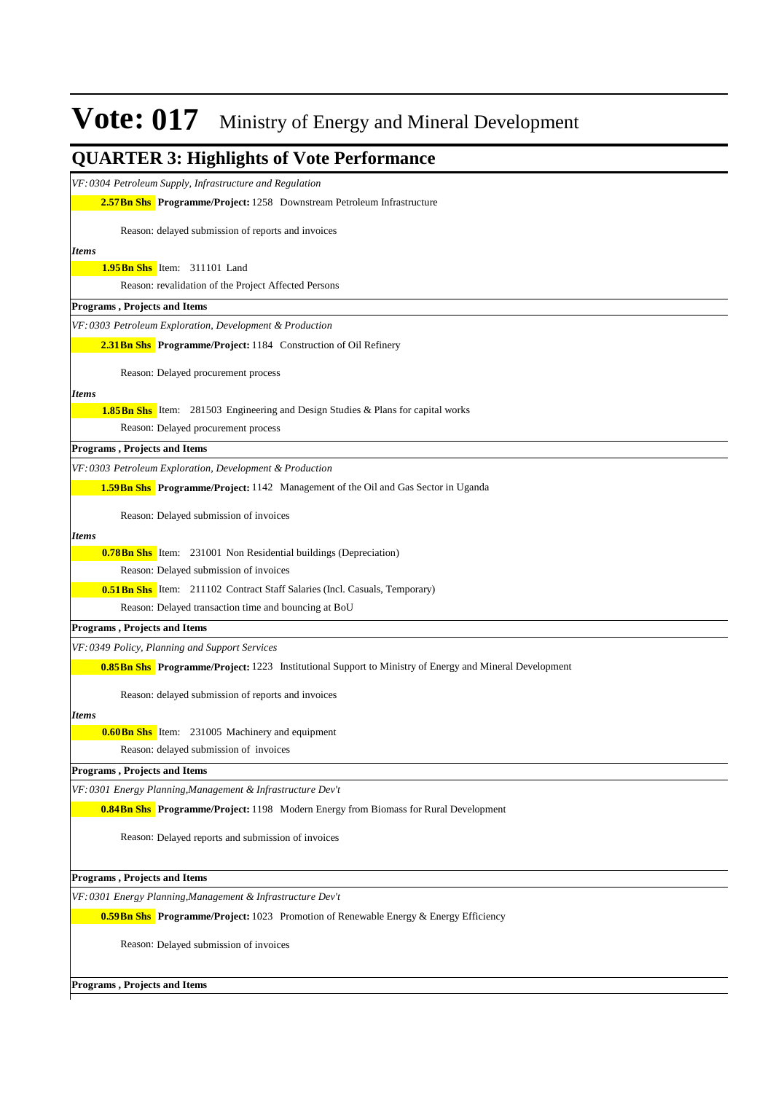| <b>QUARTER 3: Highlights of Vote Performance</b>                                                        |
|---------------------------------------------------------------------------------------------------------|
| VF: 0304 Petroleum Supply, Infrastructure and Regulation                                                |
| <b>2.57 Bn Shs</b> Programme/Project: 1258 Downstream Petroleum Infrastructure                          |
| Reason: delayed submission of reports and invoices                                                      |
| <b>Items</b>                                                                                            |
| 1.95 Bn Shs Item: 311101 Land                                                                           |
| Reason: revalidation of the Project Affected Persons                                                    |
| <b>Programs, Projects and Items</b>                                                                     |
| VF: 0303 Petroleum Exploration, Development & Production                                                |
| <b>2.31 Bn Shs</b> Programme/Project: 1184 Construction of Oil Refinery                                 |
| Reason: Delayed procurement process                                                                     |
| <i>Items</i>                                                                                            |
| <b>1.85 Bn Shs</b> Item: 281503 Engineering and Design Studies & Plans for capital works                |
| Reason: Delayed procurement process                                                                     |
| <b>Programs, Projects and Items</b>                                                                     |
| VF: 0303 Petroleum Exploration, Development & Production                                                |
| 1.59Bn Shs Programme/Project: 1142 Management of the Oil and Gas Sector in Uganda                       |
| Reason: Delayed submission of invoices                                                                  |
| <b>Items</b>                                                                                            |
| <b>0.78Bn Shs</b> Item: 231001 Non Residential buildings (Depreciation)                                 |
| Reason: Delayed submission of invoices                                                                  |
| <b>0.51 Bn Shs</b> Item: 211102 Contract Staff Salaries (Incl. Casuals, Temporary)                      |
| Reason: Delayed transaction time and bouncing at BoU                                                    |
| Programs, Projects and Items                                                                            |
| VF: 0349 Policy, Planning and Support Services                                                          |
| 0.85 Bn Shs Programme/Project: 1223 Institutional Support to Ministry of Energy and Mineral Development |
| Reason: delayed submission of reports and invoices                                                      |
| <b>Items</b>                                                                                            |
| <b>0.60 Bn Shs</b> Item: 231005 Machinery and equipment                                                 |
| Reason: delayed submission of invoices                                                                  |
| Programs, Projects and Items                                                                            |
| VF: 0301 Energy Planning, Management & Infrastructure Dev't                                             |
| <b>0.84Bn Shs</b> Programme/Project: 1198 Modern Energy from Biomass for Rural Development              |
| Reason: Delayed reports and submission of invoices                                                      |
| Programs, Projects and Items                                                                            |
| VF: 0301 Energy Planning, Management & Infrastructure Dev't                                             |
| <b>0.59 Bn Shs</b> Programme/Project: 1023 Promotion of Renewable Energy & Energy Efficiency            |
| Reason: Delayed submission of invoices                                                                  |
| Programs, Projects and Items                                                                            |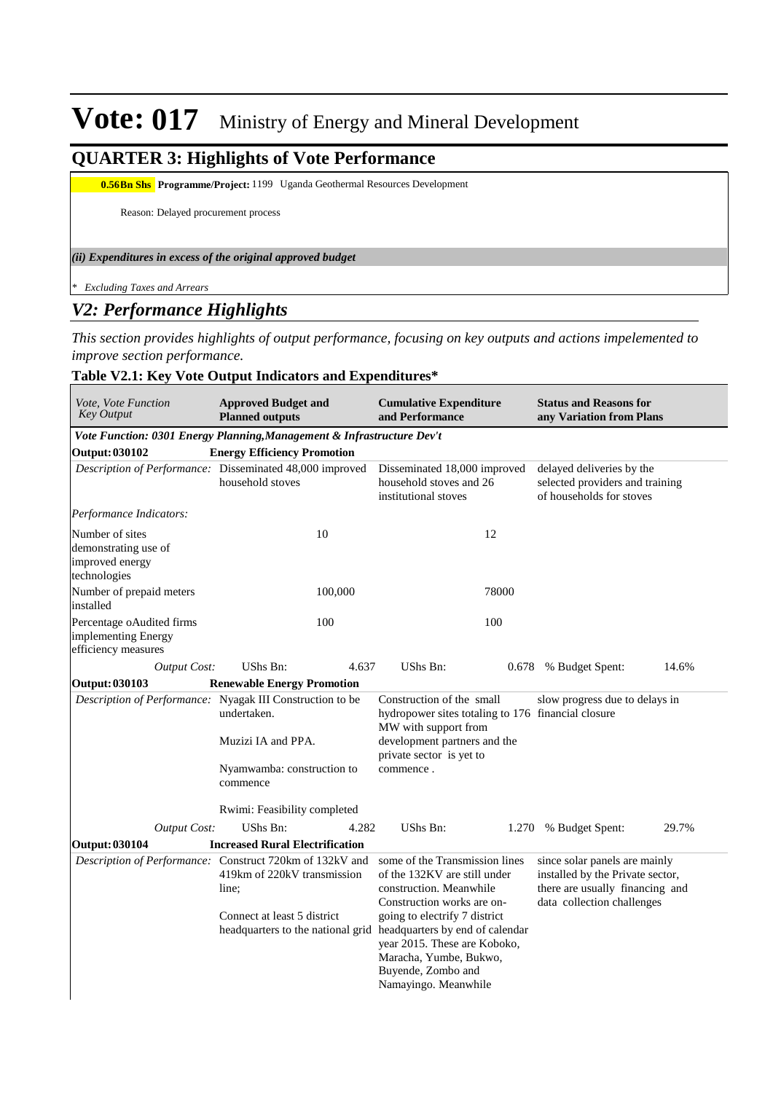### **QUARTER 3: Highlights of Vote Performance**

**0.56Bn Shs** Programme/Project: 1199 Uganda Geothermal Resources Development

Reason: Delayed procurement process

#### *(ii) Expenditures in excess of the original approved budget*

*\* Excluding Taxes and Arrears*

### *V2: Performance Highlights*

*This section provides highlights of output performance, focusing on key outputs and actions impelemented to improve section performance.*

### **Table V2.1: Key Vote Output Indicators and Expenditures\***

| Vote, Vote Function<br><b>Key Output</b>                                   | <b>Approved Budget and</b><br><b>Planned outputs</b>                                                                                     | <b>Cumulative Expenditure</b><br>and Performance                                                                                                                                                                                                                                                                                      | <b>Status and Reasons for</b><br>any Variation from Plans                                                                          |
|----------------------------------------------------------------------------|------------------------------------------------------------------------------------------------------------------------------------------|---------------------------------------------------------------------------------------------------------------------------------------------------------------------------------------------------------------------------------------------------------------------------------------------------------------------------------------|------------------------------------------------------------------------------------------------------------------------------------|
|                                                                            | Vote Function: 0301 Energy Planning, Management & Infrastructure Dev't                                                                   |                                                                                                                                                                                                                                                                                                                                       |                                                                                                                                    |
| <b>Output: 030102</b>                                                      | <b>Energy Efficiency Promotion</b>                                                                                                       |                                                                                                                                                                                                                                                                                                                                       |                                                                                                                                    |
|                                                                            | Description of Performance: Disseminated 48,000 improved<br>household stoves                                                             | Disseminated 18,000 improved<br>household stoves and 26<br>institutional stoves                                                                                                                                                                                                                                                       | delayed deliveries by the<br>selected providers and training<br>of households for stoves                                           |
| Performance Indicators:                                                    |                                                                                                                                          |                                                                                                                                                                                                                                                                                                                                       |                                                                                                                                    |
| Number of sites<br>demonstrating use of<br>improved energy<br>technologies | 10                                                                                                                                       | 12                                                                                                                                                                                                                                                                                                                                    |                                                                                                                                    |
| Number of prepaid meters<br>installed                                      | 100,000                                                                                                                                  | 78000                                                                                                                                                                                                                                                                                                                                 |                                                                                                                                    |
| Percentage oAudited firms<br>implementing Energy<br>efficiency measures    | 100                                                                                                                                      | 100                                                                                                                                                                                                                                                                                                                                   |                                                                                                                                    |
| Output Cost:                                                               | UShs Bn:<br>4.637                                                                                                                        | UShs Bn:<br>0.678                                                                                                                                                                                                                                                                                                                     | 14.6%<br>% Budget Spent:                                                                                                           |
| <b>Output: 030103</b>                                                      | <b>Renewable Energy Promotion</b>                                                                                                        |                                                                                                                                                                                                                                                                                                                                       |                                                                                                                                    |
|                                                                            | Description of Performance: Nyagak III Construction to be<br>undertaken.<br>Muzizi IA and PPA.<br>Nyamwamba: construction to<br>commence | Construction of the small<br>hydropower sites totaling to 176 financial closure<br>MW with support from<br>development partners and the<br>private sector is yet to<br>commence.                                                                                                                                                      | slow progress due to delays in                                                                                                     |
|                                                                            | Rwimi: Feasibility completed                                                                                                             |                                                                                                                                                                                                                                                                                                                                       |                                                                                                                                    |
| Output Cost:                                                               | <b>UShs Bn:</b><br>4.282                                                                                                                 | UShs Bn:<br>1.270                                                                                                                                                                                                                                                                                                                     | % Budget Spent:<br>29.7%                                                                                                           |
| <b>Output: 030104</b>                                                      | <b>Increased Rural Electrification</b>                                                                                                   |                                                                                                                                                                                                                                                                                                                                       |                                                                                                                                    |
|                                                                            | Description of Performance: Construct 720km of 132kV and<br>419km of 220kV transmission<br>line;<br>Connect at least 5 district          | some of the Transmission lines<br>of the 132KV are still under<br>construction. Meanwhile<br>Construction works are on-<br>going to electrify 7 district<br>headquarters to the national grid headquarters by end of calendar<br>year 2015. These are Koboko,<br>Maracha, Yumbe, Bukwo,<br>Buyende, Zombo and<br>Namayingo. Meanwhile | since solar panels are mainly<br>installed by the Private sector,<br>there are usually financing and<br>data collection challenges |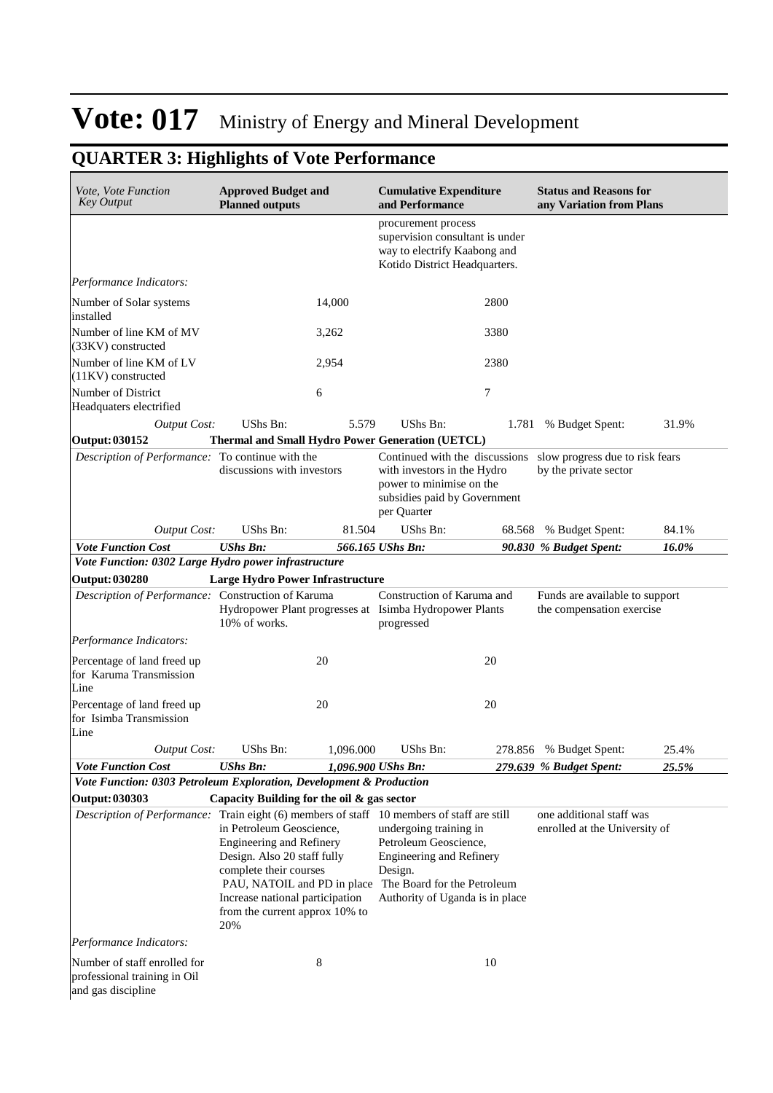| Vote, Vote Function<br><b>Key Output</b>                                           | <b>Approved Budget and</b><br><b>Planned outputs</b>                                                                                                                                                                            |           | <b>Cumulative Expenditure</b><br>and Performance                                                                                                                                                                           |        | <b>Status and Reasons for</b><br>any Variation from Plans   |       |
|------------------------------------------------------------------------------------|---------------------------------------------------------------------------------------------------------------------------------------------------------------------------------------------------------------------------------|-----------|----------------------------------------------------------------------------------------------------------------------------------------------------------------------------------------------------------------------------|--------|-------------------------------------------------------------|-------|
|                                                                                    |                                                                                                                                                                                                                                 |           | procurement process<br>supervision consultant is under<br>way to electrify Kaabong and<br>Kotido District Headquarters.                                                                                                    |        |                                                             |       |
| Performance Indicators:                                                            |                                                                                                                                                                                                                                 |           |                                                                                                                                                                                                                            |        |                                                             |       |
| Number of Solar systems<br>installed                                               |                                                                                                                                                                                                                                 | 14.000    |                                                                                                                                                                                                                            | 2800   |                                                             |       |
| Number of line KM of MV<br>(33KV) constructed                                      |                                                                                                                                                                                                                                 | 3,262     |                                                                                                                                                                                                                            | 3380   |                                                             |       |
| Number of line KM of LV<br>(11KV) constructed                                      |                                                                                                                                                                                                                                 | 2,954     |                                                                                                                                                                                                                            | 2380   |                                                             |       |
| Number of District<br>Headquaters electrified                                      |                                                                                                                                                                                                                                 | 6         |                                                                                                                                                                                                                            | 7      |                                                             |       |
| <b>Output Cost:</b>                                                                | <b>UShs Bn:</b>                                                                                                                                                                                                                 | 5.579     | <b>UShs Bn:</b>                                                                                                                                                                                                            | 1.781  | % Budget Spent:                                             | 31.9% |
| <b>Output: 030152</b>                                                              |                                                                                                                                                                                                                                 |           | <b>Thermal and Small Hydro Power Generation (UETCL)</b>                                                                                                                                                                    |        |                                                             |       |
| Description of Performance: To continue with the                                   | discussions with investors                                                                                                                                                                                                      |           | Continued with the discussions<br>with investors in the Hydro<br>power to minimise on the<br>subsidies paid by Government<br>per Quarter                                                                                   |        | slow progress due to risk fears<br>by the private sector    |       |
| <b>Output Cost:</b>                                                                | <b>UShs Bn:</b>                                                                                                                                                                                                                 | 81.504    | UShs Bn:                                                                                                                                                                                                                   | 68.568 | % Budget Spent:                                             | 84.1% |
| <b>Vote Function Cost</b>                                                          | <b>UShs Bn:</b>                                                                                                                                                                                                                 |           | 566.165 UShs Bn:                                                                                                                                                                                                           |        | 90.830 % Budget Spent:                                      | 16.0% |
| Vote Function: 0302 Large Hydro power infrastructure                               |                                                                                                                                                                                                                                 |           |                                                                                                                                                                                                                            |        |                                                             |       |
| <b>Output: 030280</b>                                                              | <b>Large Hydro Power Infrastructure</b>                                                                                                                                                                                         |           |                                                                                                                                                                                                                            |        |                                                             |       |
| Description of Performance: Construction of Karuma                                 | 10% of works.                                                                                                                                                                                                                   |           | Construction of Karuma and<br>Hydropower Plant progresses at Isimba Hydropower Plants<br>progressed                                                                                                                        |        | Funds are available to support<br>the compensation exercise |       |
| Performance Indicators:                                                            |                                                                                                                                                                                                                                 |           |                                                                                                                                                                                                                            |        |                                                             |       |
| Percentage of land freed up<br>for Karuma Transmission<br>Line                     |                                                                                                                                                                                                                                 | 20        |                                                                                                                                                                                                                            | 20     |                                                             |       |
| Percentage of land freed up<br>for Isimba Transmission<br>Line                     |                                                                                                                                                                                                                                 | 20        |                                                                                                                                                                                                                            | 20     |                                                             |       |
| <b>Output Cost:</b>                                                                | UShs Bn:                                                                                                                                                                                                                        | 1,096.000 | UShs Bn:                                                                                                                                                                                                                   |        | 278.856 % Budget Spent:                                     | 25.4% |
| <b>Vote Function Cost</b>                                                          | <b>UShs Bn:</b>                                                                                                                                                                                                                 |           | 1,096.900 UShs Bn:                                                                                                                                                                                                         |        | 279.639 % Budget Spent:                                     | 25.5% |
| Vote Function: 0303 Petroleum Exploration, Development & Production                |                                                                                                                                                                                                                                 |           |                                                                                                                                                                                                                            |        |                                                             |       |
| <b>Output: 030303</b>                                                              | Capacity Building for the oil & gas sector                                                                                                                                                                                      |           |                                                                                                                                                                                                                            |        |                                                             |       |
| Description of Performance:                                                        | in Petroleum Geoscience,<br><b>Engineering and Refinery</b><br>Design. Also 20 staff fully<br>complete their courses<br>PAU, NATOIL and PD in place<br>Increase national participation<br>from the current approx 10% to<br>20% |           | Train eight (6) members of staff 10 members of staff are still<br>undergoing training in<br>Petroleum Geoscience,<br>Engineering and Refinery<br>Design.<br>The Board for the Petroleum<br>Authority of Uganda is in place |        | one additional staff was<br>enrolled at the University of   |       |
| Performance Indicators:                                                            |                                                                                                                                                                                                                                 |           |                                                                                                                                                                                                                            |        |                                                             |       |
| Number of staff enrolled for<br>professional training in Oil<br>and gas discipline |                                                                                                                                                                                                                                 | 8         |                                                                                                                                                                                                                            | 10     |                                                             |       |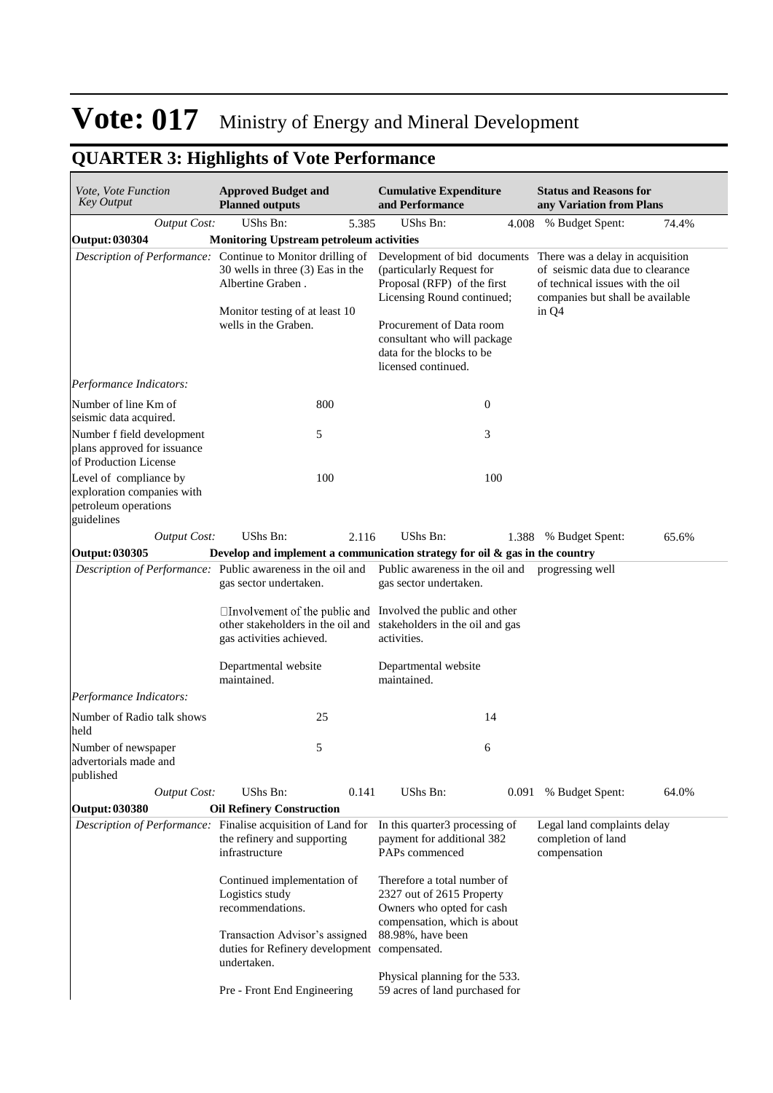| Vote, Vote Function<br><b>Key Output</b>                                                   | <b>Approved Budget and</b><br><b>Planned outputs</b>                                                                                                                           | <b>Cumulative Expenditure</b><br>and Performance                                                                                                                                                                                      | <b>Status and Reasons for</b><br>any Variation from Plans                                                                                             |
|--------------------------------------------------------------------------------------------|--------------------------------------------------------------------------------------------------------------------------------------------------------------------------------|---------------------------------------------------------------------------------------------------------------------------------------------------------------------------------------------------------------------------------------|-------------------------------------------------------------------------------------------------------------------------------------------------------|
| <b>Output Cost:</b>                                                                        | UShs Bn:<br>5.385                                                                                                                                                              | UShs Bn:<br>4.008                                                                                                                                                                                                                     | % Budget Spent:<br>74.4%                                                                                                                              |
| <b>Output: 030304</b>                                                                      | <b>Monitoring Upstream petroleum activities</b>                                                                                                                                |                                                                                                                                                                                                                                       |                                                                                                                                                       |
|                                                                                            | Description of Performance: Continue to Monitor drilling of<br>30 wells in three (3) Eas in the<br>Albertine Graben.<br>Monitor testing of at least 10<br>wells in the Graben. | Development of bid documents<br>(particularly Request for<br>Proposal (RFP) of the first<br>Licensing Round continued;<br>Procurement of Data room<br>consultant who will package<br>data for the blocks to be<br>licensed continued. | There was a delay in acquisition<br>of seismic data due to clearance<br>of technical issues with the oil<br>companies but shall be available<br>in Q4 |
| Performance Indicators:                                                                    |                                                                                                                                                                                |                                                                                                                                                                                                                                       |                                                                                                                                                       |
| Number of line Km of<br>seismic data acquired.                                             | 800                                                                                                                                                                            | $\boldsymbol{0}$                                                                                                                                                                                                                      |                                                                                                                                                       |
| Number f field development<br>plans approved for issuance<br>of Production License         | 5                                                                                                                                                                              | 3                                                                                                                                                                                                                                     |                                                                                                                                                       |
| Level of compliance by<br>exploration companies with<br>petroleum operations<br>guidelines | 100                                                                                                                                                                            | 100                                                                                                                                                                                                                                   |                                                                                                                                                       |
| <b>Output Cost:</b>                                                                        | UShs Bn:<br>2.116                                                                                                                                                              | UShs Bn:<br>1.388                                                                                                                                                                                                                     | 65.6%<br>% Budget Spent:                                                                                                                              |
| Output: 030305                                                                             |                                                                                                                                                                                | Develop and implement a communication strategy for oil & gas in the country                                                                                                                                                           |                                                                                                                                                       |
|                                                                                            | Description of Performance: Public awareness in the oil and<br>gas sector undertaken.                                                                                          | Public awareness in the oil and progressing well<br>gas sector undertaken.                                                                                                                                                            |                                                                                                                                                       |
|                                                                                            | $\Box$ Involvement of the public and Involved the public and other<br>gas activities achieved.                                                                                 | other stakeholders in the oil and stakeholders in the oil and gas<br>activities.                                                                                                                                                      |                                                                                                                                                       |
|                                                                                            | Departmental website<br>maintained.                                                                                                                                            | Departmental website<br>maintained.                                                                                                                                                                                                   |                                                                                                                                                       |
| Performance Indicators:                                                                    |                                                                                                                                                                                |                                                                                                                                                                                                                                       |                                                                                                                                                       |
| Number of Radio talk shows<br>held                                                         | 25                                                                                                                                                                             | 14                                                                                                                                                                                                                                    |                                                                                                                                                       |
| Number of newspaper<br>advertorials made and<br>published                                  | 5                                                                                                                                                                              | 6                                                                                                                                                                                                                                     |                                                                                                                                                       |
| <b>Output Cost:</b>                                                                        | UShs Bn:<br>0.141                                                                                                                                                              | UShs Bn:<br>0.091                                                                                                                                                                                                                     | % Budget Spent:<br>64.0%                                                                                                                              |
| <b>Output: 030380</b>                                                                      | <b>Oil Refinery Construction</b>                                                                                                                                               |                                                                                                                                                                                                                                       |                                                                                                                                                       |
|                                                                                            | Description of Performance: Finalise acquisition of Land for<br>the refinery and supporting<br>infrastructure                                                                  | In this quarter3 processing of<br>payment for additional 382<br>PAPs commenced                                                                                                                                                        | Legal land complaints delay<br>completion of land<br>compensation                                                                                     |
|                                                                                            | Continued implementation of<br>Logistics study<br>recommendations.                                                                                                             | Therefore a total number of<br>2327 out of 2615 Property<br>Owners who opted for cash<br>compensation, which is about                                                                                                                 |                                                                                                                                                       |
|                                                                                            | Transaction Advisor's assigned<br>duties for Refinery development compensated.<br>undertaken.                                                                                  | 88.98%, have been                                                                                                                                                                                                                     |                                                                                                                                                       |
|                                                                                            | Pre - Front End Engineering                                                                                                                                                    | Physical planning for the 533.<br>59 acres of land purchased for                                                                                                                                                                      |                                                                                                                                                       |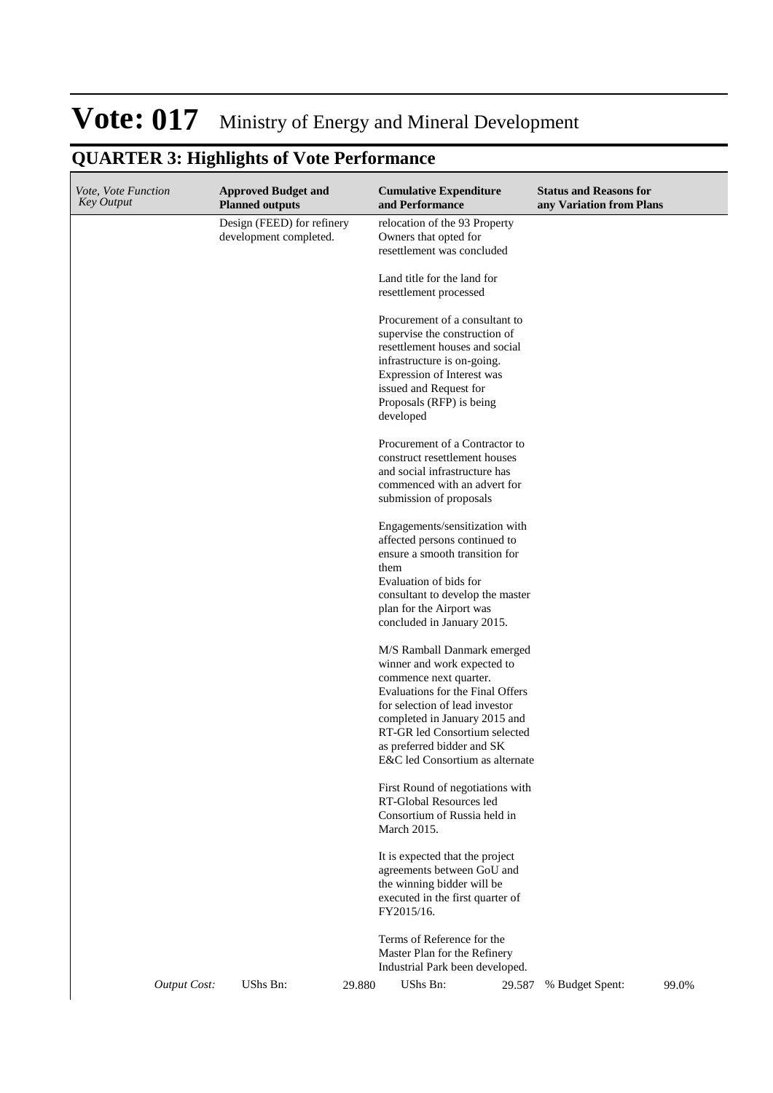## **QUARTER 3: Highlights of Vote Performance**

| <i>Vote, Vote Function</i><br><b>Key Output</b> | <b>Approved Budget and</b><br><b>Planned outputs</b> | <b>Cumulative Expenditure</b><br>and Performance                                                                                                                                                                                                                                              | <b>Status and Reasons for</b><br>any Variation from Plans |
|-------------------------------------------------|------------------------------------------------------|-----------------------------------------------------------------------------------------------------------------------------------------------------------------------------------------------------------------------------------------------------------------------------------------------|-----------------------------------------------------------|
|                                                 | Design (FEED) for refinery<br>development completed. | relocation of the 93 Property<br>Owners that opted for<br>resettlement was concluded                                                                                                                                                                                                          |                                                           |
|                                                 |                                                      | Land title for the land for<br>resettlement processed                                                                                                                                                                                                                                         |                                                           |
|                                                 |                                                      | Procurement of a consultant to<br>supervise the construction of<br>resettlement houses and social<br>infrastructure is on-going.<br>Expression of Interest was<br>issued and Request for<br>Proposals (RFP) is being<br>developed                                                             |                                                           |
|                                                 |                                                      | Procurement of a Contractor to<br>construct resettlement houses<br>and social infrastructure has<br>commenced with an advert for<br>submission of proposals                                                                                                                                   |                                                           |
|                                                 |                                                      | Engagements/sensitization with<br>affected persons continued to<br>ensure a smooth transition for<br>them<br>Evaluation of bids for<br>consultant to develop the master<br>plan for the Airport was<br>concluded in January 2015.                                                             |                                                           |
|                                                 |                                                      | M/S Ramball Danmark emerged<br>winner and work expected to<br>commence next quarter.<br>Evaluations for the Final Offers<br>for selection of lead investor<br>completed in January 2015 and<br>RT-GR led Consortium selected<br>as preferred bidder and SK<br>E&C led Consortium as alternate |                                                           |
|                                                 |                                                      | First Round of negotiations with<br>RT-Global Resources led<br>Consortium of Russia held in<br>March 2015.                                                                                                                                                                                    |                                                           |
|                                                 |                                                      | It is expected that the project<br>agreements between GoU and<br>the winning bidder will be<br>executed in the first quarter of<br>FY2015/16.                                                                                                                                                 |                                                           |
|                                                 |                                                      | Terms of Reference for the<br>Master Plan for the Refinery<br>Industrial Park been developed.                                                                                                                                                                                                 |                                                           |
| <b>Output Cost:</b>                             | UShs Bn:<br>29.880                                   | UShs Bn:<br>29.587                                                                                                                                                                                                                                                                            | 99.0%<br>% Budget Spent:                                  |

 $\overline{\phantom{a}}$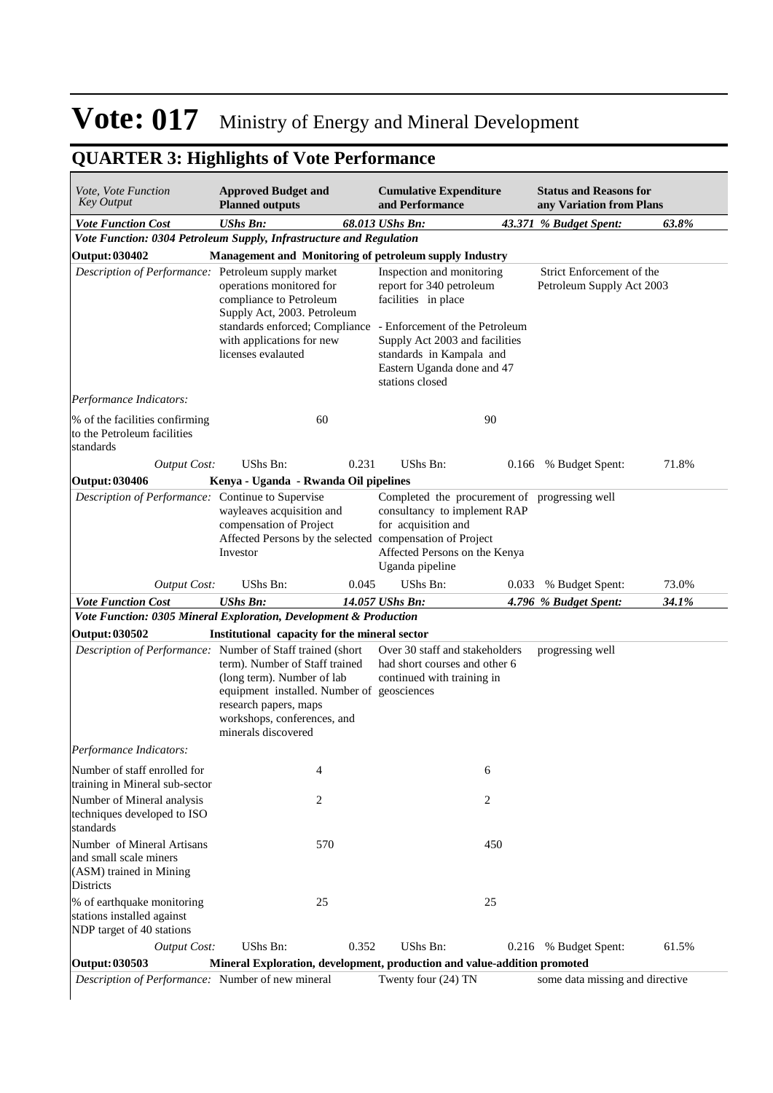| Vote, Vote Function<br><b>Key Output</b>                                                     | <b>Approved Budget and</b><br><b>Planned outputs</b>                                                                                                                                                                                       |       | <b>Cumulative Expenditure</b><br>and Performance                                                                                                                                            |       | <b>Status and Reasons for</b><br>any Variation from Plans |       |
|----------------------------------------------------------------------------------------------|--------------------------------------------------------------------------------------------------------------------------------------------------------------------------------------------------------------------------------------------|-------|---------------------------------------------------------------------------------------------------------------------------------------------------------------------------------------------|-------|-----------------------------------------------------------|-------|
| <b>Vote Function Cost</b>                                                                    | <b>UShs Bn:</b>                                                                                                                                                                                                                            |       | 68.013 UShs Bn:                                                                                                                                                                             |       | 43.371 % Budget Spent:                                    | 63.8% |
| Vote Function: 0304 Petroleum Supply, Infrastructure and Regulation                          |                                                                                                                                                                                                                                            |       |                                                                                                                                                                                             |       |                                                           |       |
| <b>Output: 030402</b>                                                                        | Management and Monitoring of petroleum supply Industry                                                                                                                                                                                     |       |                                                                                                                                                                                             |       |                                                           |       |
| Description of Performance: Petroleum supply market                                          | operations monitored for<br>compliance to Petroleum<br>Supply Act, 2003. Petroleum<br>standards enforced; Compliance - Enforcement of the Petroleum<br>with applications for new<br>licenses evalauted                                     |       | Inspection and monitoring<br>report for 340 petroleum<br>facilities in place<br>Supply Act 2003 and facilities<br>standards in Kampala and<br>Eastern Uganda done and 47<br>stations closed |       | Strict Enforcement of the<br>Petroleum Supply Act 2003    |       |
| Performance Indicators:                                                                      |                                                                                                                                                                                                                                            |       |                                                                                                                                                                                             |       |                                                           |       |
| % of the facilities confirming<br>to the Petroleum facilities<br>standards                   | 60                                                                                                                                                                                                                                         |       | 90                                                                                                                                                                                          |       |                                                           |       |
| <b>Output Cost:</b>                                                                          | UShs Bn:                                                                                                                                                                                                                                   | 0.231 | UShs Bn:                                                                                                                                                                                    | 0.166 | % Budget Spent:                                           | 71.8% |
| <b>Output: 030406</b>                                                                        | Kenya - Uganda - Rwanda Oil pipelines                                                                                                                                                                                                      |       |                                                                                                                                                                                             |       |                                                           |       |
| Description of Performance: Continue to Supervise                                            | wayleaves acquisition and<br>compensation of Project<br>Affected Persons by the selected compensation of Project<br>Investor                                                                                                               |       | Completed the procurement of progressing well<br>consultancy to implement RAP<br>for acquisition and<br>Affected Persons on the Kenya<br>Uganda pipeline                                    |       |                                                           |       |
| <b>Output Cost:</b>                                                                          | UShs Bn:                                                                                                                                                                                                                                   | 0.045 | UShs Bn:                                                                                                                                                                                    | 0.033 | % Budget Spent:                                           | 73.0% |
| <b>Vote Function Cost</b>                                                                    | <b>UShs Bn:</b>                                                                                                                                                                                                                            |       | 14.057 UShs Bn:                                                                                                                                                                             |       | 4.796 % Budget Spent:                                     | 34.1% |
| Vote Function: 0305 Mineral Exploration, Development & Production                            |                                                                                                                                                                                                                                            |       |                                                                                                                                                                                             |       |                                                           |       |
| <b>Output: 030502</b><br>Description of Performance: Number of Staff trained (short          | Institutional capacity for the mineral sector<br>term). Number of Staff trained<br>(long term). Number of lab<br>equipment installed. Number of geosciences<br>research papers, maps<br>workshops, conferences, and<br>minerals discovered |       | Over 30 staff and stakeholders<br>had short courses and other 6<br>continued with training in                                                                                               |       | progressing well                                          |       |
| Performance Indicators:                                                                      |                                                                                                                                                                                                                                            |       |                                                                                                                                                                                             |       |                                                           |       |
| Number of staff enrolled for<br>training in Mineral sub-sector                               | 4                                                                                                                                                                                                                                          |       | 6                                                                                                                                                                                           |       |                                                           |       |
| Number of Mineral analysis<br>techniques developed to ISO<br>standards                       | 2                                                                                                                                                                                                                                          |       | 2                                                                                                                                                                                           |       |                                                           |       |
| Number of Mineral Artisans<br>and small scale miners<br>(ASM) trained in Mining<br>Districts | 570                                                                                                                                                                                                                                        |       | 450                                                                                                                                                                                         |       |                                                           |       |
| % of earthquake monitoring<br>stations installed against<br>NDP target of 40 stations        | 25                                                                                                                                                                                                                                         |       | 25                                                                                                                                                                                          |       |                                                           |       |
| <b>Output Cost:</b>                                                                          | UShs Bn:                                                                                                                                                                                                                                   | 0.352 | UShs Bn:                                                                                                                                                                                    | 0.216 | % Budget Spent:                                           | 61.5% |
| Output: 030503                                                                               | Mineral Exploration, development, production and value-addition promoted                                                                                                                                                                   |       |                                                                                                                                                                                             |       |                                                           |       |
| Description of Performance: Number of new mineral                                            |                                                                                                                                                                                                                                            |       | Twenty four (24) TN                                                                                                                                                                         |       | some data missing and directive                           |       |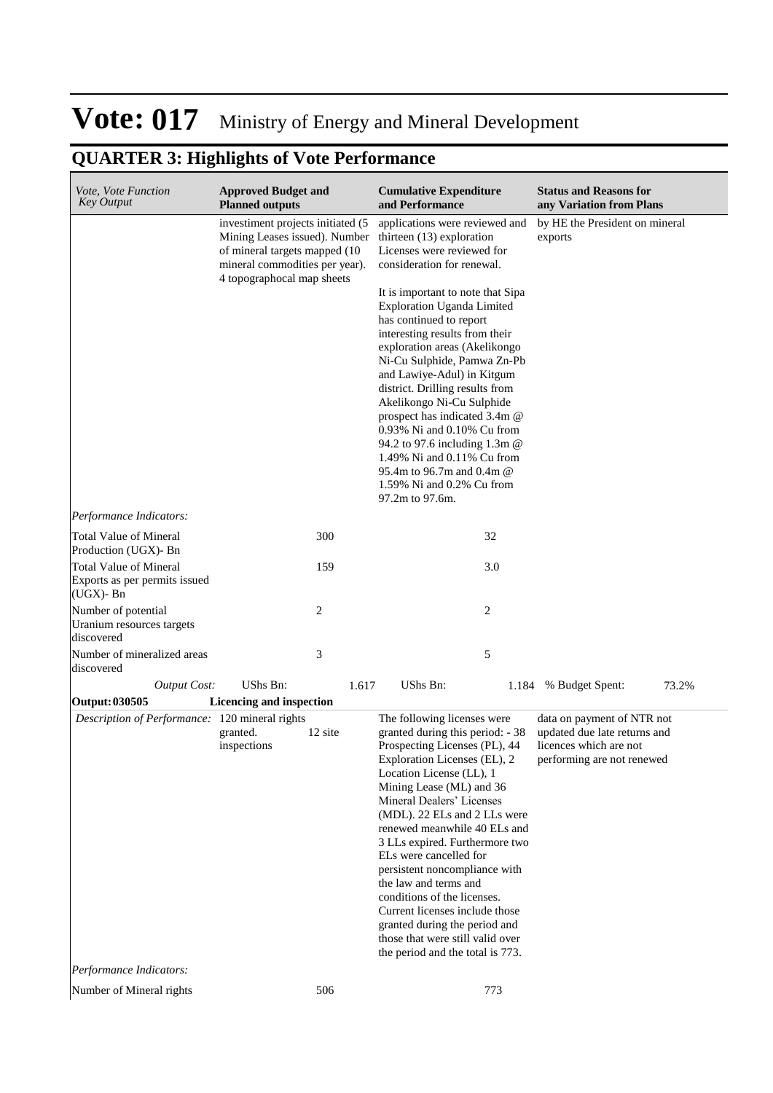| Vote, Vote Function<br><b>Key Output</b>                                    | <b>Approved Budget and</b><br><b>Planned outputs</b>                                                                                                                |         | <b>Cumulative Expenditure</b><br>and Performance                                                                                                                                                                                                                                                                                                                                                                                                                                                                                                                                                                                          | <b>Status and Reasons for</b><br>any Variation from Plans                                                          |
|-----------------------------------------------------------------------------|---------------------------------------------------------------------------------------------------------------------------------------------------------------------|---------|-------------------------------------------------------------------------------------------------------------------------------------------------------------------------------------------------------------------------------------------------------------------------------------------------------------------------------------------------------------------------------------------------------------------------------------------------------------------------------------------------------------------------------------------------------------------------------------------------------------------------------------------|--------------------------------------------------------------------------------------------------------------------|
|                                                                             | investiment projects initiated (5<br>Mining Leases issued). Number<br>of mineral targets mapped (10<br>mineral commodities per year).<br>4 topographocal map sheets |         | applications were reviewed and<br>thirteen $(13)$ exploration<br>Licenses were reviewed for<br>consideration for renewal.<br>It is important to note that Sipa<br><b>Exploration Uganda Limited</b><br>has continued to report<br>interesting results from their<br>exploration areas (Akelikongo<br>Ni-Cu Sulphide, Pamwa Zn-Pb<br>and Lawiye-Adul) in Kitgum<br>district. Drilling results from<br>Akelikongo Ni-Cu Sulphide<br>prospect has indicated 3.4m @<br>0.93% Ni and 0.10% Cu from<br>94.2 to 97.6 including 1.3m @<br>1.49% Ni and 0.11% Cu from<br>95.4m to 96.7m and 0.4m @<br>1.59% Ni and 0.2% Cu from<br>97.2m to 97.6m. | by HE the President on mineral<br>exports                                                                          |
| Performance Indicators:                                                     |                                                                                                                                                                     |         |                                                                                                                                                                                                                                                                                                                                                                                                                                                                                                                                                                                                                                           |                                                                                                                    |
| Total Value of Mineral<br>Production (UGX)- Bn                              |                                                                                                                                                                     | 300     | 32                                                                                                                                                                                                                                                                                                                                                                                                                                                                                                                                                                                                                                        |                                                                                                                    |
| <b>Total Value of Mineral</b><br>Exports as per permits issued<br>(UGX)- Bn |                                                                                                                                                                     | 159     | 3.0                                                                                                                                                                                                                                                                                                                                                                                                                                                                                                                                                                                                                                       |                                                                                                                    |
| Number of potential<br>Uranium resources targets<br>discovered              |                                                                                                                                                                     | 2       | 2                                                                                                                                                                                                                                                                                                                                                                                                                                                                                                                                                                                                                                         |                                                                                                                    |
| Number of mineralized areas<br>discovered                                   |                                                                                                                                                                     | 3       | 5                                                                                                                                                                                                                                                                                                                                                                                                                                                                                                                                                                                                                                         |                                                                                                                    |
| <b>Output Cost:</b>                                                         | UShs Bn:                                                                                                                                                            | 1.617   | UShs Bn:<br>1.184                                                                                                                                                                                                                                                                                                                                                                                                                                                                                                                                                                                                                         | 73.2%<br>% Budget Spent:                                                                                           |
| Output: 030505                                                              | Licencing and inspection                                                                                                                                            |         |                                                                                                                                                                                                                                                                                                                                                                                                                                                                                                                                                                                                                                           |                                                                                                                    |
| Description of Performance: 120 mineral rights<br>Performance Indicators:   | granted.<br>inspections                                                                                                                                             | 12 site | The following licenses were<br>granted during this period: - 38<br>Prospecting Licenses (PL), 44<br>Exploration Licenses (EL), 2<br>Location License (LL), 1<br>Mining Lease (ML) and 36<br>Mineral Dealers' Licenses<br>(MDL). 22 ELs and 2 LLs were<br>renewed meanwhile 40 ELs and<br>3 LLs expired. Furthermore two<br>ELs were cancelled for<br>persistent noncompliance with<br>the law and terms and<br>conditions of the licenses.<br>Current licenses include those<br>granted during the period and<br>those that were still valid over<br>the period and the total is 773.                                                     | data on payment of NTR not<br>updated due late returns and<br>licences which are not<br>performing are not renewed |
| Number of Mineral rights                                                    |                                                                                                                                                                     | 506     | 773                                                                                                                                                                                                                                                                                                                                                                                                                                                                                                                                                                                                                                       |                                                                                                                    |
|                                                                             |                                                                                                                                                                     |         |                                                                                                                                                                                                                                                                                                                                                                                                                                                                                                                                                                                                                                           |                                                                                                                    |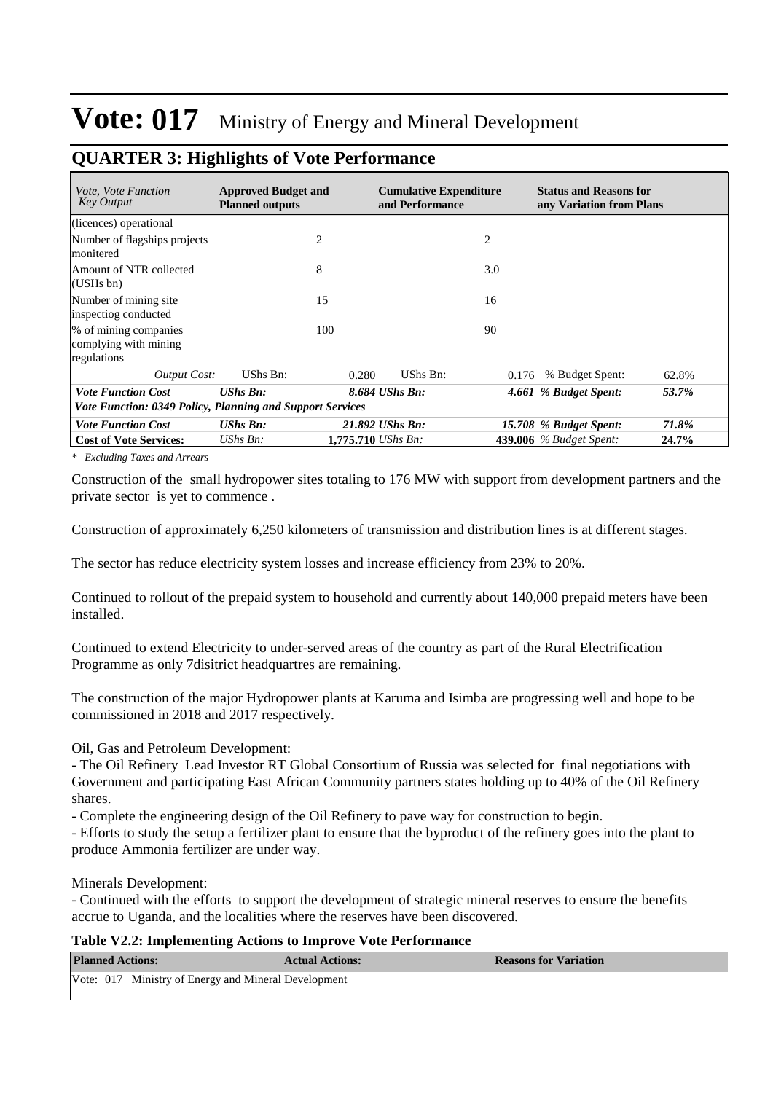### **QUARTER 3: Highlights of Vote Performance**

| <i>Vote, Vote Function</i><br><b>Key Output</b>               | <b>Approved Budget and</b><br><b>Planned outputs</b>      |       | <b>Cumulative Expenditure</b><br>and Performance |       | <b>Status and Reasons for</b><br>any Variation from Plans |       |  |
|---------------------------------------------------------------|-----------------------------------------------------------|-------|--------------------------------------------------|-------|-----------------------------------------------------------|-------|--|
| (licences) operational                                        |                                                           |       |                                                  |       |                                                           |       |  |
| Number of flagships projects<br>monitered                     |                                                           | 2     |                                                  | 2     |                                                           |       |  |
| Amount of NTR collected<br>(USHs bn)                          |                                                           | 8     |                                                  | 3.0   |                                                           |       |  |
| Number of mining site.<br>inspectiog conducted                |                                                           | 15    |                                                  | 16    |                                                           |       |  |
| % of mining companies<br>complying with mining<br>regulations |                                                           | 100   |                                                  | 90    |                                                           |       |  |
| Output Cost:                                                  | UShs Bn:                                                  | 0.280 | UShs Bn:                                         | 0.176 | % Budget Spent:                                           | 62.8% |  |
| <b>Vote Function Cost</b>                                     | $UShs$ $Bn$ :                                             |       | 8.684 UShs Bn:                                   |       | 4.661 % Budget Spent:                                     | 53.7% |  |
|                                                               | Vote Function: 0349 Policy, Planning and Support Services |       |                                                  |       |                                                           |       |  |
| <b>Vote Function Cost</b>                                     | <b>UShs Bn:</b>                                           |       | 21.892 UShs Bn:                                  |       | 15.708 % Budget Spent:                                    | 71.8% |  |
| <b>Cost of Vote Services:</b>                                 | UShs $Bn$ :                                               |       | 1,775.710 UShs Bn:                               |       | <b>439.006</b> % Budget Spent:                            | 24.7% |  |

*\* Excluding Taxes and Arrears*

Construction of the small hydropower sites totaling to 176 MW with support from development partners and the private sector is yet to commence .

Construction of approximately 6,250 kilometers of transmission and distribution lines is at different stages.

The sector has reduce electricity system losses and increase efficiency from 23% to 20%.

Continued to rollout of the prepaid system to household and currently about 140,000 prepaid meters have been installed.

Continued to extend Electricity to under-served areas of the country as part of the Rural Electrification Programme as only 7disitrict headquartres are remaining.

The construction of the major Hydropower plants at Karuma and Isimba are progressing well and hope to be commissioned in 2018 and 2017 respectively.

Oil, Gas and Petroleum Development:

- The Oil Refinery Lead Investor RT Global Consortium of Russia was selected for final negotiations with Government and participating East African Community partners states holding up to 40% of the Oil Refinery shares.

- Complete the engineering design of the Oil Refinery to pave way for construction to begin.

- Efforts to study the setup a fertilizer plant to ensure that the byproduct of the refinery goes into the plant to produce Ammonia fertilizer are under way.

Minerals Development:

- Continued with the efforts to support the development of strategic mineral reserves to ensure the benefits accrue to Uganda, and the localities where the reserves have been discovered.

#### **Table V2.2: Implementing Actions to Improve Vote Performance**

| <b>Planned Actions:</b>                              | <b>Actual Actions:</b> | <b>Reasons for Variation</b> |
|------------------------------------------------------|------------------------|------------------------------|
| Vote: 017 Ministry of Energy and Mineral Development |                        |                              |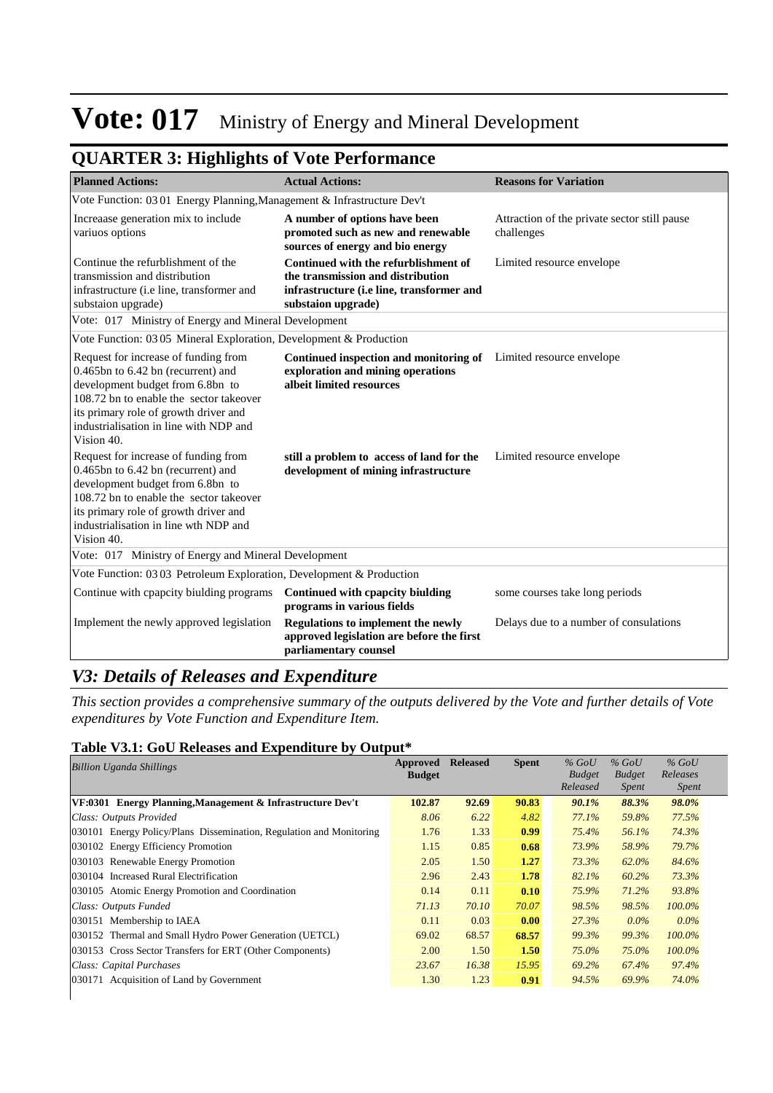### **QUARTER 3: Highlights of Vote Performance**

| <b>Planned Actions:</b>                                                                                                                                                                                                                                    | <b>Actual Actions:</b>                                                                                                                       | <b>Reasons for Variation</b>                               |  |  |  |  |  |  |
|------------------------------------------------------------------------------------------------------------------------------------------------------------------------------------------------------------------------------------------------------------|----------------------------------------------------------------------------------------------------------------------------------------------|------------------------------------------------------------|--|--|--|--|--|--|
| Vote Function: 03 01 Energy Planning, Management & Infrastructure Dev't                                                                                                                                                                                    |                                                                                                                                              |                                                            |  |  |  |  |  |  |
| Increaase generation mix to include<br>variuos options                                                                                                                                                                                                     | A number of options have been<br>promoted such as new and renewable<br>sources of energy and bio energy                                      | Attraction of the private sector still pause<br>challenges |  |  |  |  |  |  |
| Continue the refurblishment of the<br>transmission and distribution<br>infrastructure (i.e line, transformer and<br>substaion upgrade)                                                                                                                     | Continued with the refurblishment of<br>the transmission and distribution<br>infrastructure (i.e line, transformer and<br>substaion upgrade) | Limited resource envelope                                  |  |  |  |  |  |  |
| Vote: 017 Ministry of Energy and Mineral Development                                                                                                                                                                                                       |                                                                                                                                              |                                                            |  |  |  |  |  |  |
|                                                                                                                                                                                                                                                            | Vote Function: 03 05 Mineral Exploration, Development & Production                                                                           |                                                            |  |  |  |  |  |  |
| Request for increase of funding from<br>0.465bn to 6.42 bn (recurrent) and<br>development budget from 6.8bn to<br>108.72 bn to enable the sector takeover<br>its primary role of growth driver and<br>industrialisation in line with NDP and<br>Vision 40. | <b>Continued inspection and monitoring of</b> Limited resource envelope<br>exploration and mining operations<br>albeit limited resources     |                                                            |  |  |  |  |  |  |
| Request for increase of funding from<br>0.465bn to 6.42 bn (recurrent) and<br>development budget from 6.8bn to<br>108.72 bn to enable the sector takeover<br>its primary role of growth driver and<br>industrialisation in line wth NDP and<br>Vision 40.  | still a problem to access of land for the<br>development of mining infrastructure                                                            | Limited resource envelope                                  |  |  |  |  |  |  |
| Vote: 017 Ministry of Energy and Mineral Development                                                                                                                                                                                                       |                                                                                                                                              |                                                            |  |  |  |  |  |  |
| Vote Function: 03 03 Petroleum Exploration, Development & Production                                                                                                                                                                                       |                                                                                                                                              |                                                            |  |  |  |  |  |  |
| Continue with cpapcity biulding programs                                                                                                                                                                                                                   | Continued with cpapcity biulding<br>programs in various fields                                                                               | some courses take long periods                             |  |  |  |  |  |  |
| Implement the newly approved legislation                                                                                                                                                                                                                   | <b>Regulations to implement the newly</b><br>approved legislation are before the first<br>parliamentary counsel                              | Delays due to a number of consulations                     |  |  |  |  |  |  |

### *V3: Details of Releases and Expenditure*

*This section provides a comprehensive summary of the outputs delivered by the Vote and further details of Vote expenditures by Vote Function and Expenditure Item.*

### **Table V3.1: GoU Releases and Expenditure by Output\***

| <b>Billion Uganda Shillings</b>                                        | Approved<br><b>Budget</b> | <b>Released</b> | <b>Spent</b> | $%$ GoU<br><b>Budget</b><br>Released | $%$ GoU<br><b>Budget</b><br><i>Spent</i> | $%$ GoU<br>Releases<br><i>Spent</i> |
|------------------------------------------------------------------------|---------------------------|-----------------|--------------|--------------------------------------|------------------------------------------|-------------------------------------|
| VF:0301 Energy Planning, Management & Infrastructure Dev't             | 102.87                    | 92.69           | 90.83        | 90.1%                                | 88.3%                                    | 98.0%                               |
| Class: Outputs Provided                                                | 8.06                      | 6.22            | 4.82         | 77.1%                                | 59.8%                                    | 77.5%                               |
| Energy Policy/Plans Dissemination, Regulation and Monitoring<br>030101 | 1.76                      | 1.33            | 0.99         | 75.4%                                | 56.1%                                    | 74.3%                               |
| <b>Energy Efficiency Promotion</b><br>030102                           | 1.15                      | 0.85            | 0.68         | 73.9%                                | 58.9%                                    | 79.7%                               |
| Renewable Energy Promotion<br>030103                                   | 2.05                      | 1.50            | 1.27         | 73.3%                                | 62.0%                                    | 84.6%                               |
| 030104 Increased Rural Electrification                                 | 2.96                      | 2.43            | 1.78         | 82.1%                                | 60.2%                                    | 73.3%                               |
| 030105 Atomic Energy Promotion and Coordination                        | 0.14                      | 0.11            | 0.10         | 75.9%                                | $71.2\%$                                 | 93.8%                               |
| Class: Outputs Funded                                                  | 71.13                     | 70.10           | 70.07        | 98.5%                                | 98.5%                                    | $100.0\%$                           |
| 030151 Membership to IAEA                                              | 0.11                      | 0.03            | 0.00         | 27.3%                                | $0.0\%$                                  | $0.0\%$                             |
| 030152 Thermal and Small Hydro Power Generation (UETCL)                | 69.02                     | 68.57           | 68.57        | 99.3%                                | 99.3%                                    | $100.0\%$                           |
| 030153 Cross Sector Transfers for ERT (Other Components)               | 2.00                      | 1.50            | 1.50         | 75.0%                                | 75.0%                                    | $100.0\%$                           |
| Class: Capital Purchases                                               | 23.67                     | 16.38           | 15.95        | 69.2%                                | 67.4%                                    | 97.4%                               |
| 030171 Acquisition of Land by Government                               | 1.30                      | 1.23            | 0.91         | 94.5%                                | 69.9%                                    | 74.0%                               |
|                                                                        |                           |                 |              |                                      |                                          |                                     |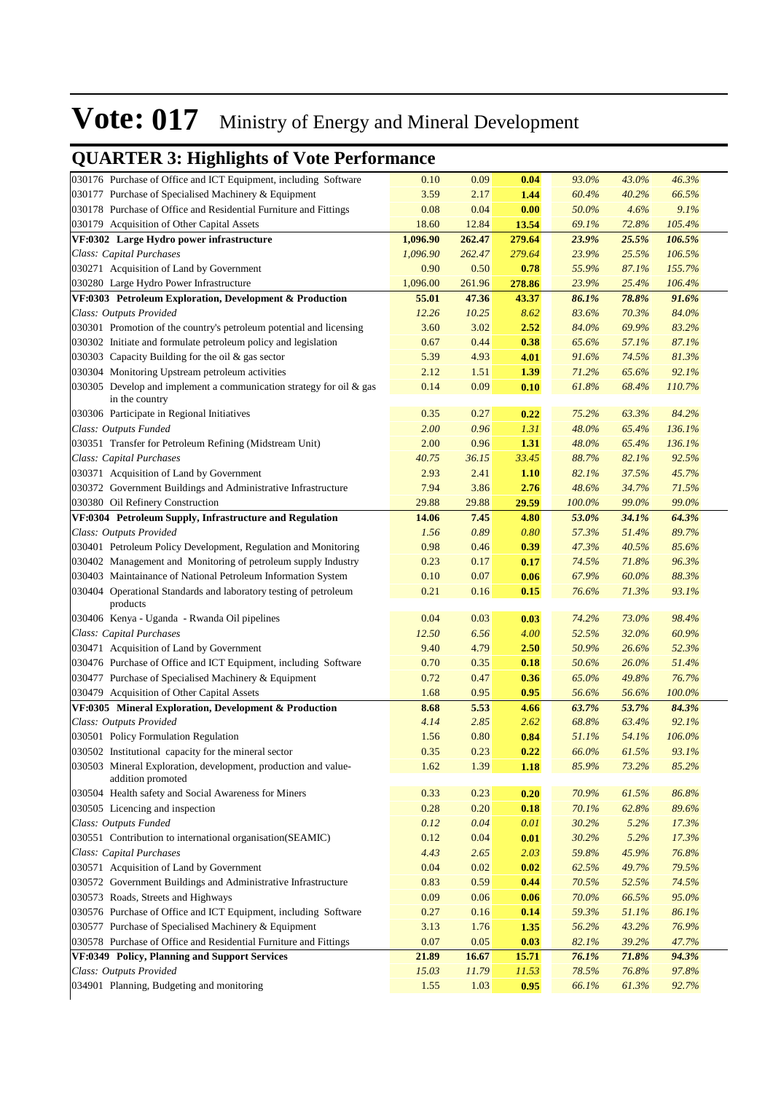| 030176 Purchase of Office and ICT Equipment, including Software                       | 0.10     | 0.09   | 0.04   | 93.0%  | 43.0% | 46.3%  |
|---------------------------------------------------------------------------------------|----------|--------|--------|--------|-------|--------|
| 030177 Purchase of Specialised Machinery & Equipment                                  | 3.59     | 2.17   | 1.44   | 60.4%  | 40.2% | 66.5%  |
| 030178 Purchase of Office and Residential Furniture and Fittings                      | 0.08     | 0.04   | 0.00   | 50.0%  | 4.6%  | 9.1%   |
| 030179 Acquisition of Other Capital Assets                                            | 18.60    | 12.84  | 13.54  | 69.1%  | 72.8% | 105.4% |
| VF:0302 Large Hydro power infrastructure                                              | 1,096.90 | 262.47 | 279.64 | 23.9%  | 25.5% | 106.5% |
| Class: Capital Purchases                                                              | 1,096.90 | 262.47 | 279.64 | 23.9%  | 25.5% | 106.5% |
| 030271 Acquisition of Land by Government                                              | 0.90     | 0.50   | 0.78   | 55.9%  | 87.1% | 155.7% |
| 030280 Large Hydro Power Infrastructure                                               | 1,096.00 | 261.96 | 278.86 | 23.9%  | 25.4% | 106.4% |
| VF:0303 Petroleum Exploration, Development & Production                               | 55.01    | 47.36  | 43.37  | 86.1%  | 78.8% | 91.6%  |
| Class: Outputs Provided                                                               | 12.26    | 10.25  | 8.62   | 83.6%  | 70.3% | 84.0%  |
| 030301 Promotion of the country's petroleum potential and licensing                   | 3.60     | 3.02   | 2.52   | 84.0%  | 69.9% | 83.2%  |
| 030302 Initiate and formulate petroleum policy and legislation                        | 0.67     | 0.44   | 0.38   | 65.6%  | 57.1% | 87.1%  |
| 030303 Capacity Building for the oil & gas sector                                     | 5.39     | 4.93   | 4.01   | 91.6%  | 74.5% | 81.3%  |
| 030304 Monitoring Upstream petroleum activities                                       | 2.12     | 1.51   | 1.39   | 71.2%  | 65.6% | 92.1%  |
| 030305 Develop and implement a communication strategy for oil & gas<br>in the country | 0.14     | 0.09   | 0.10   | 61.8%  | 68.4% | 110.7% |
| 030306 Participate in Regional Initiatives                                            | 0.35     | 0.27   | 0.22   | 75.2%  | 63.3% | 84.2%  |
| Class: Outputs Funded                                                                 | 2.00     | 0.96   | 1.31   | 48.0%  | 65.4% | 136.1% |
| 030351 Transfer for Petroleum Refining (Midstream Unit)                               | 2.00     | 0.96   | 1.31   | 48.0%  | 65.4% | 136.1% |
| Class: Capital Purchases                                                              | 40.75    | 36.15  | 33.45  | 88.7%  | 82.1% | 92.5%  |
| 030371 Acquisition of Land by Government                                              | 2.93     | 2.41   | 1.10   | 82.1%  | 37.5% | 45.7%  |
| 030372 Government Buildings and Administrative Infrastructure                         | 7.94     | 3.86   | 2.76   | 48.6%  | 34.7% | 71.5%  |
| 030380 Oil Refinery Construction                                                      | 29.88    | 29.88  | 29.59  | 100.0% | 99.0% | 99.0%  |
| VF:0304 Petroleum Supply, Infrastructure and Regulation                               | 14.06    | 7.45   | 4.80   | 53.0%  | 34.1% | 64.3%  |
| Class: Outputs Provided                                                               | 1.56     | 0.89   | 0.80   | 57.3%  | 51.4% | 89.7%  |
| 030401 Petroleum Policy Development, Regulation and Monitoring                        | 0.98     | 0.46   | 0.39   | 47.3%  | 40.5% | 85.6%  |
| 030402 Management and Monitoring of petroleum supply Industry                         | 0.23     | 0.17   | 0.17   | 74.5%  | 71.8% | 96.3%  |
| 030403 Maintainance of National Petroleum Information System                          | 0.10     | 0.07   | 0.06   | 67.9%  | 60.0% | 88.3%  |
| 030404 Operational Standards and laboratory testing of petroleum<br>products          | 0.21     | 0.16   | 0.15   | 76.6%  | 71.3% | 93.1%  |
| 030406 Kenya - Uganda - Rwanda Oil pipelines                                          | 0.04     | 0.03   | 0.03   | 74.2%  | 73.0% | 98.4%  |
| Class: Capital Purchases                                                              | 12.50    | 6.56   | 4.00   | 52.5%  | 32.0% | 60.9%  |
| 030471 Acquisition of Land by Government                                              | 9.40     | 4.79   | 2.50   | 50.9%  | 26.6% | 52.3%  |
| 030476 Purchase of Office and ICT Equipment, including Software                       | 0.70     | 0.35   | 0.18   | 50.6%  | 26.0% | 51.4%  |
| 030477 Purchase of Specialised Machinery & Equipment                                  | 0.72     | 0.47   | 0.36   | 65.0%  | 49.8% | 76.7%  |
| 030479 Acquisition of Other Capital Assets                                            | 1.68     | 0.95   | 0.95   | 56.6%  | 56.6% | 100.0% |
| VF:0305 Mineral Exploration, Development & Production                                 | 8.68     | 5.53   | 4.66   | 63.7%  | 53.7% | 84.3%  |
| Class: Outputs Provided                                                               | 4.14     | 2.85   | 2.62   | 68.8%  | 63.4% | 92.1%  |
| 030501 Policy Formulation Regulation                                                  | 1.56     | 0.80   | 0.84   | 51.1%  | 54.1% | 106.0% |
| 030502 Institutional capacity for the mineral sector                                  | 0.35     | 0.23   | 0.22   | 66.0%  | 61.5% | 93.1%  |
| 030503 Mineral Exploration, development, production and value-<br>addition promoted   | 1.62     | 1.39   | 1.18   | 85.9%  | 73.2% | 85.2%  |
| 030504 Health safety and Social Awareness for Miners                                  | 0.33     | 0.23   | 0.20   | 70.9%  | 61.5% | 86.8%  |
| 030505 Licencing and inspection                                                       | 0.28     | 0.20   | 0.18   | 70.1%  | 62.8% | 89.6%  |
| Class: Outputs Funded                                                                 | 0.12     | 0.04   | 0.01   | 30.2%  | 5.2%  | 17.3%  |
| 030551 Contribution to international organisation(SEAMIC)                             | 0.12     | 0.04   | 0.01   | 30.2%  | 5.2%  | 17.3%  |
| Class: Capital Purchases                                                              | 4.43     | 2.65   | 2.03   | 59.8%  | 45.9% | 76.8%  |
| 030571 Acquisition of Land by Government                                              | 0.04     | 0.02   | 0.02   | 62.5%  | 49.7% | 79.5%  |
| 030572 Government Buildings and Administrative Infrastructure                         | 0.83     | 0.59   | 0.44   | 70.5%  | 52.5% | 74.5%  |
| 030573 Roads, Streets and Highways                                                    | 0.09     | 0.06   | 0.06   | 70.0%  | 66.5% | 95.0%  |
| 030576 Purchase of Office and ICT Equipment, including Software                       | 0.27     | 0.16   | 0.14   | 59.3%  | 51.1% | 86.1%  |
| 030577 Purchase of Specialised Machinery & Equipment                                  | 3.13     | 1.76   | 1.35   | 56.2%  | 43.2% | 76.9%  |
| 030578 Purchase of Office and Residential Furniture and Fittings                      | 0.07     | 0.05   | 0.03   | 82.1%  | 39.2% | 47.7%  |
| VF:0349 Policy, Planning and Support Services                                         | 21.89    | 16.67  | 15.71  | 76.1%  | 71.8% | 94.3%  |
| Class: Outputs Provided                                                               | 15.03    | 11.79  | 11.53  | 78.5%  | 76.8% | 97.8%  |
| 034901 Planning, Budgeting and monitoring                                             | 1.55     | 1.03   | 0.95   | 66.1%  | 61.3% | 92.7%  |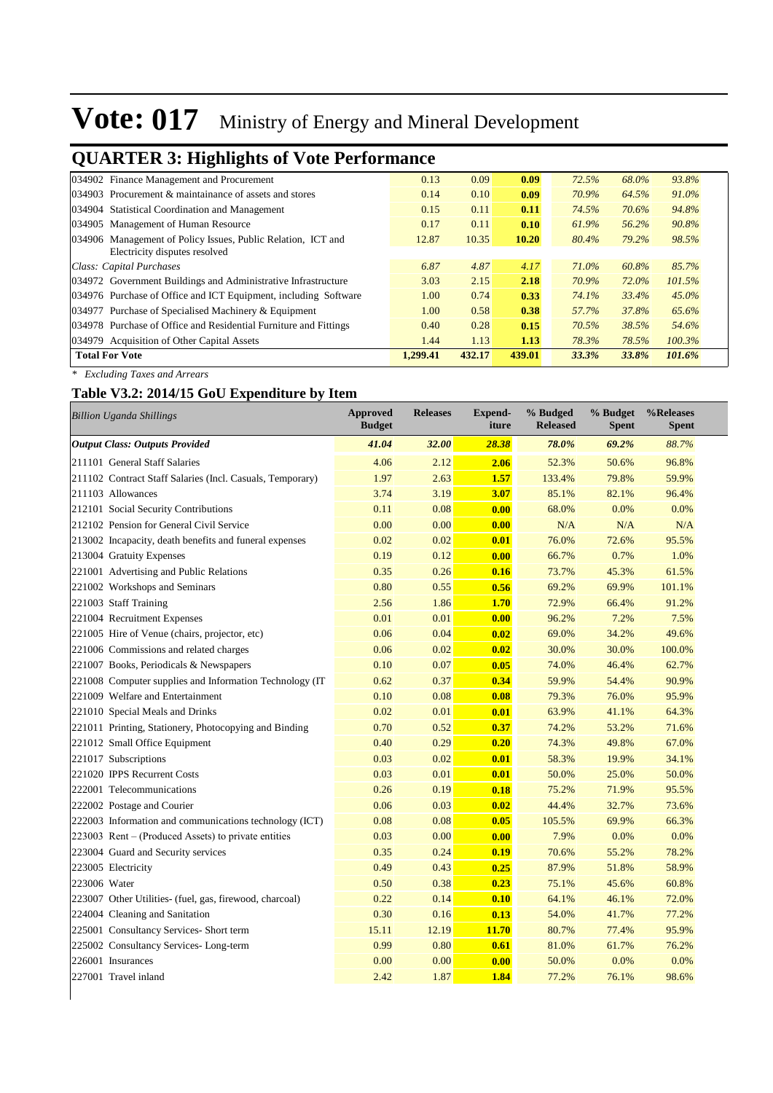### **QUARTER 3: Highlights of Vote Performance**

| 034902 Finance Management and Procurement                        | 0.13     | 0.09   | 0.09   | 72.5% | 68.0% | 93.8%    |
|------------------------------------------------------------------|----------|--------|--------|-------|-------|----------|
| 034903 Procurement & maintainance of assets and stores           | 0.14     | 0.10   | 0.09   | 70.9% | 64.5% | 91.0%    |
| 034904 Statistical Coordination and Management                   | 0.15     | 0.11   | 0.11   | 74.5% | 70.6% | 94.8%    |
| 034905 Management of Human Resource                              | 0.17     | 0.11   | 0.10   | 61.9% | 56.2% | 90.8%    |
| 034906 Management of Policy Issues, Public Relation, ICT and     | 12.87    | 10.35  | 10.20  | 80.4% | 79.2% | 98.5%    |
| Electricity disputes resolved                                    |          |        |        |       |       |          |
| Class: Capital Purchases                                         | 6.87     | 4.87   | 4.17   | 71.0% | 60.8% | 85.7%    |
| 034972 Government Buildings and Administrative Infrastructure    | 3.03     | 2.15   | 2.18   | 70.9% | 72.0% | 101.5%   |
| 034976 Purchase of Office and ICT Equipment, including Software  | 1.00     | 0.74   | 0.33   | 74.1% | 33.4% | $45.0\%$ |
| 034977 Purchase of Specialised Machinery & Equipment             | 1.00     | 0.58   | 0.38   | 57.7% | 37.8% | 65.6%    |
| 034978 Purchase of Office and Residential Furniture and Fittings | 0.40     | 0.28   | 0.15   | 70.5% | 38.5% | 54.6%    |
| 034979 Acquisition of Other Capital Assets                       | 1.44     | 1.13   | 1.13   | 78.3% | 78.5% | 100.3%   |
| <b>Total For Vote</b>                                            | 1.299.41 | 432.17 | 439.01 | 33.3% | 33.8% | 101.6%   |
|                                                                  |          |        |        |       |       |          |

*\* Excluding Taxes and Arrears*

### **Table V3.2: 2014/15 GoU Expenditure by Item**

| <b>Output Class: Outputs Provided</b>                     |       |       | iture | <b>Released</b> | <b>Spent</b> | <b>Spent</b> |
|-----------------------------------------------------------|-------|-------|-------|-----------------|--------------|--------------|
|                                                           | 41.04 | 32.00 | 28.38 | 78.0%           | 69.2%        | 88.7%        |
| 211101 General Staff Salaries                             | 4.06  | 2.12  | 2.06  | 52.3%           | 50.6%        | 96.8%        |
| 211102 Contract Staff Salaries (Incl. Casuals, Temporary) | 1.97  | 2.63  | 1.57  | 133.4%          | 79.8%        | 59.9%        |
| 211103 Allowances                                         | 3.74  | 3.19  | 3.07  | 85.1%           | 82.1%        | 96.4%        |
| 212101 Social Security Contributions                      | 0.11  | 0.08  | 0.00  | 68.0%           | 0.0%         | 0.0%         |
| 212102 Pension for General Civil Service                  | 0.00  | 0.00  | 0.00  | N/A             | N/A          | N/A          |
| 213002 Incapacity, death benefits and funeral expenses    | 0.02  | 0.02  | 0.01  | 76.0%           | 72.6%        | 95.5%        |
| 213004 Gratuity Expenses                                  | 0.19  | 0.12  | 0.00  | 66.7%           | 0.7%         | 1.0%         |
| 221001 Advertising and Public Relations                   | 0.35  | 0.26  | 0.16  | 73.7%           | 45.3%        | 61.5%        |
| 221002 Workshops and Seminars                             | 0.80  | 0.55  | 0.56  | 69.2%           | 69.9%        | 101.1%       |
| 221003 Staff Training                                     | 2.56  | 1.86  | 1.70  | 72.9%           | 66.4%        | 91.2%        |
| 221004 Recruitment Expenses                               | 0.01  | 0.01  | 0.00  | 96.2%           | 7.2%         | 7.5%         |
| 221005 Hire of Venue (chairs, projector, etc)             | 0.06  | 0.04  | 0.02  | 69.0%           | 34.2%        | 49.6%        |
| 221006 Commissions and related charges                    | 0.06  | 0.02  | 0.02  | 30.0%           | 30.0%        | 100.0%       |
| 221007 Books, Periodicals & Newspapers                    | 0.10  | 0.07  | 0.05  | 74.0%           | 46.4%        | 62.7%        |
| 221008 Computer supplies and Information Technology (IT)  | 0.62  | 0.37  | 0.34  | 59.9%           | 54.4%        | 90.9%        |
| 221009 Welfare and Entertainment                          | 0.10  | 0.08  | 0.08  | 79.3%           | 76.0%        | 95.9%        |
| 221010 Special Meals and Drinks                           | 0.02  | 0.01  | 0.01  | 63.9%           | 41.1%        | 64.3%        |
| 221011 Printing, Stationery, Photocopying and Binding     | 0.70  | 0.52  | 0.37  | 74.2%           | 53.2%        | 71.6%        |
| 221012 Small Office Equipment                             | 0.40  | 0.29  | 0.20  | 74.3%           | 49.8%        | 67.0%        |
| 221017 Subscriptions                                      | 0.03  | 0.02  | 0.01  | 58.3%           | 19.9%        | 34.1%        |
| 221020 IPPS Recurrent Costs                               | 0.03  | 0.01  | 0.01  | 50.0%           | 25.0%        | 50.0%        |
| 222001 Telecommunications                                 | 0.26  | 0.19  | 0.18  | 75.2%           | 71.9%        | 95.5%        |
| 222002 Postage and Courier                                | 0.06  | 0.03  | 0.02  | 44.4%           | 32.7%        | 73.6%        |
| 222003 Information and communications technology (ICT)    | 0.08  | 0.08  | 0.05  | 105.5%          | 69.9%        | 66.3%        |
| 223003 Rent – (Produced Assets) to private entities       | 0.03  | 0.00  | 0.00  | 7.9%            | 0.0%         | 0.0%         |
| 223004 Guard and Security services                        | 0.35  | 0.24  | 0.19  | 70.6%           | 55.2%        | 78.2%        |
| 223005 Electricity                                        | 0.49  | 0.43  | 0.25  | 87.9%           | 51.8%        | 58.9%        |
| 223006 Water                                              | 0.50  | 0.38  | 0.23  | 75.1%           | 45.6%        | 60.8%        |
| 223007 Other Utilities- (fuel, gas, firewood, charcoal)   | 0.22  | 0.14  | 0.10  | 64.1%           | 46.1%        | 72.0%        |
| 224004 Cleaning and Sanitation                            | 0.30  | 0.16  | 0.13  | 54.0%           | 41.7%        | 77.2%        |
| 225001 Consultancy Services- Short term                   | 15.11 | 12.19 | 11.70 | 80.7%           | 77.4%        | 95.9%        |
| 225002 Consultancy Services-Long-term                     | 0.99  | 0.80  | 0.61  | 81.0%           | 61.7%        | 76.2%        |
| 226001 Insurances                                         | 0.00  | 0.00  | 0.00  | 50.0%           | 0.0%         | 0.0%         |
| 227001 Travel inland                                      | 2.42  | 1.87  | 1.84  | 77.2%           | 76.1%        | 98.6%        |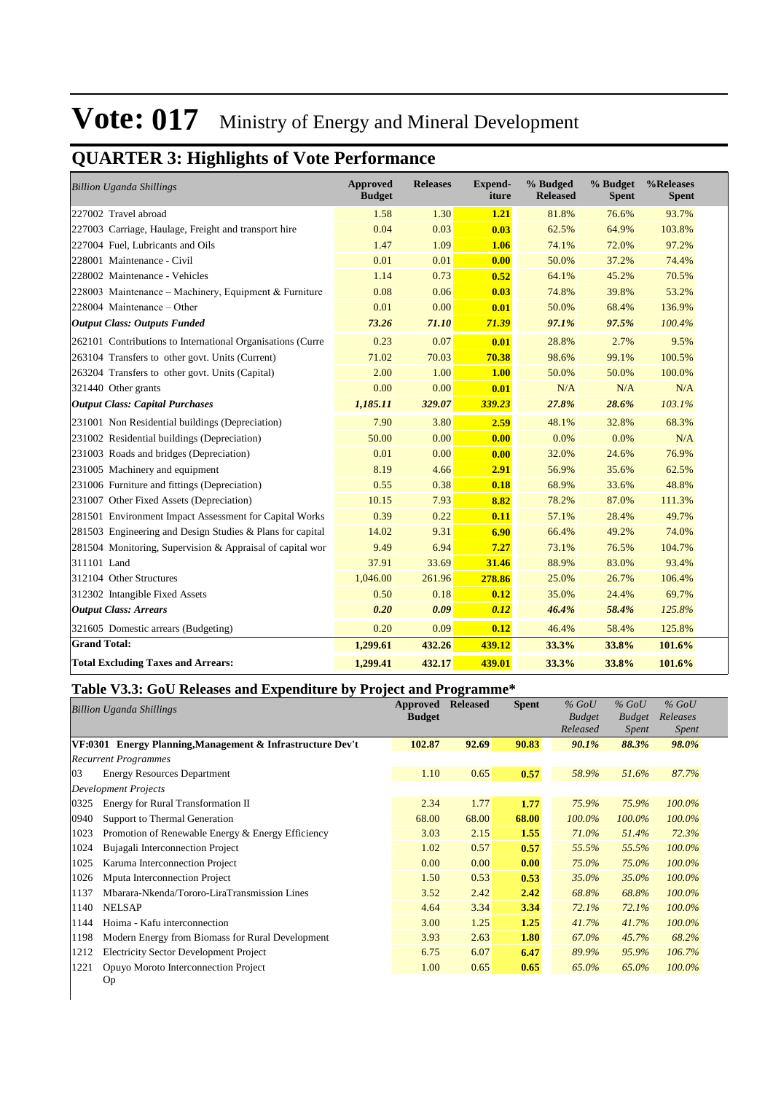## **QUARTER 3: Highlights of Vote Performance**

| <b>Billion Uganda Shillings</b>                            | <b>Approved</b><br><b>Budget</b> | <b>Releases</b> | <b>Expend-</b><br>iture | % Budged<br><b>Released</b> | % Budget<br><b>Spent</b> | %Releases<br><b>Spent</b> |
|------------------------------------------------------------|----------------------------------|-----------------|-------------------------|-----------------------------|--------------------------|---------------------------|
| 227002 Travel abroad                                       | 1.58                             | 1.30            | 1.21                    | 81.8%                       | 76.6%                    | 93.7%                     |
| 227003 Carriage, Haulage, Freight and transport hire       | 0.04                             | 0.03            | 0.03                    | 62.5%                       | 64.9%                    | 103.8%                    |
| 227004 Fuel, Lubricants and Oils                           | 1.47                             | 1.09            | 1.06                    | 74.1%                       | 72.0%                    | 97.2%                     |
| 228001 Maintenance - Civil                                 | 0.01                             | 0.01            | 0.00                    | 50.0%                       | 37.2%                    | 74.4%                     |
| 228002 Maintenance - Vehicles                              | 1.14                             | 0.73            | 0.52                    | 64.1%                       | 45.2%                    | 70.5%                     |
| 228003 Maintenance – Machinery, Equipment & Furniture      | 0.08                             | 0.06            | 0.03                    | 74.8%                       | 39.8%                    | 53.2%                     |
| 228004 Maintenance – Other                                 | 0.01                             | 0.00            | 0.01                    | 50.0%                       | 68.4%                    | 136.9%                    |
| <b>Output Class: Outputs Funded</b>                        | 73.26                            | 71.10           | 71.39                   | 97.1%                       | 97.5%                    | 100.4%                    |
| 262101 Contributions to International Organisations (Curre | 0.23                             | 0.07            | 0.01                    | 28.8%                       | 2.7%                     | 9.5%                      |
| 263104 Transfers to other govt. Units (Current)            | 71.02                            | 70.03           | 70.38                   | 98.6%                       | 99.1%                    | 100.5%                    |
| 263204 Transfers to other govt. Units (Capital)            | 2.00                             | 1.00            | <b>1.00</b>             | 50.0%                       | 50.0%                    | 100.0%                    |
| 321440 Other grants                                        | 0.00                             | 0.00            | 0.01                    | N/A                         | N/A                      | N/A                       |
| <b>Output Class: Capital Purchases</b>                     | 1,185.11                         | 329.07          | 339.23                  | 27.8%                       | 28.6%                    | 103.1%                    |
| 231001 Non Residential buildings (Depreciation)            | 7.90                             | 3.80            | 2.59                    | 48.1%                       | 32.8%                    | 68.3%                     |
| 231002 Residential buildings (Depreciation)                | 50.00                            | 0.00            | 0.00                    | 0.0%                        | 0.0%                     | N/A                       |
| 231003 Roads and bridges (Depreciation)                    | 0.01                             | 0.00            | 0.00                    | 32.0%                       | 24.6%                    | 76.9%                     |
| 231005 Machinery and equipment                             | 8.19                             | 4.66            | 2.91                    | 56.9%                       | 35.6%                    | 62.5%                     |
| 231006 Furniture and fittings (Depreciation)               | 0.55                             | 0.38            | 0.18                    | 68.9%                       | 33.6%                    | 48.8%                     |
| 231007 Other Fixed Assets (Depreciation)                   | 10.15                            | 7.93            | 8.82                    | 78.2%                       | 87.0%                    | 111.3%                    |
| 281501 Environment Impact Assessment for Capital Works     | 0.39                             | 0.22            | 0.11                    | 57.1%                       | 28.4%                    | 49.7%                     |
| 281503 Engineering and Design Studies & Plans for capital  | 14.02                            | 9.31            | 6.90                    | 66.4%                       | 49.2%                    | 74.0%                     |
| 281504 Monitoring, Supervision & Appraisal of capital wor  | 9.49                             | 6.94            | 7.27                    | 73.1%                       | 76.5%                    | 104.7%                    |
| 311101 Land                                                | 37.91                            | 33.69           | 31.46                   | 88.9%                       | 83.0%                    | 93.4%                     |
| 312104 Other Structures                                    | 1,046.00                         | 261.96          | 278.86                  | 25.0%                       | 26.7%                    | 106.4%                    |
| 312302 Intangible Fixed Assets                             | 0.50                             | 0.18            | 0.12                    | 35.0%                       | 24.4%                    | 69.7%                     |
| <b>Output Class: Arrears</b>                               | 0.20                             | 0.09            | 0.12                    | 46.4%                       | 58.4%                    | 125.8%                    |
| 321605 Domestic arrears (Budgeting)                        | 0.20                             | 0.09            | 0.12                    | 46.4%                       | 58.4%                    | 125.8%                    |
| <b>Grand Total:</b>                                        | 1,299.61                         | 432.26          | 439.12                  | 33.3%                       | 33.8%                    | 101.6%                    |
| <b>Total Excluding Taxes and Arrears:</b>                  | 1,299.41                         | 432.17          | 439.01                  | 33.3%                       | 33.8%                    | 101.6%                    |

### **Table V3.3: GoU Releases and Expenditure by Project and Programme\***

|      | <b>Billion Uganda Shillings</b>                            | Approved<br><b>Budget</b> | <b>Released</b> | <b>Spent</b> | $%$ GoU<br><b>Budget</b> | $%$ GoU<br><b>Budget</b> | $%$ GoU<br>Releases |  |
|------|------------------------------------------------------------|---------------------------|-----------------|--------------|--------------------------|--------------------------|---------------------|--|
|      |                                                            |                           |                 |              | Released                 | <i>Spent</i>             | Spent               |  |
|      | VF:0301 Energy Planning, Management & Infrastructure Dev't | 102.87                    | 92.69           | 90.83        | 90.1%                    | 88.3%                    | 98.0%               |  |
|      | <b>Recurrent Programmes</b>                                |                           |                 |              |                          |                          |                     |  |
| 03   | <b>Energy Resources Department</b>                         | 1.10                      | 0.65            | 0.57         | 58.9%                    | 51.6%                    | 87.7%               |  |
|      | <b>Development Projects</b>                                |                           |                 |              |                          |                          |                     |  |
| 0325 | Energy for Rural Transformation II                         | 2.34                      | 1.77            | 1.77         | 75.9%                    | 75.9%                    | 100.0%              |  |
| 0940 | Support to Thermal Generation                              | 68.00                     | 68.00           | 68.00        | 100.0%                   | 100.0%                   | 100.0%              |  |
| 1023 | Promotion of Renewable Energy & Energy Efficiency          | 3.03                      | 2.15            | 1.55         | 71.0%                    | 51.4%                    | 72.3%               |  |
| 1024 | Bujagali Interconnection Project                           | 1.02                      | 0.57            | 0.57         | 55.5%                    | 55.5%                    | 100.0%              |  |
| 1025 | Karuma Interconnection Project                             | 0.00                      | 0.00            | 0.00         | 75.0%                    | 75.0%                    | 100.0%              |  |
| 1026 | Mputa Interconnection Project                              | 1.50                      | 0.53            | 0.53         | 35.0%                    | 35.0%                    | 100.0%              |  |
| 1137 | Mbarara-Nkenda/Tororo-LiraTransmission Lines               | 3.52                      | 2.42            | 2.42         | 68.8%                    | 68.8%                    | 100.0%              |  |
| 1140 | <b>NELSAP</b>                                              | 4.64                      | 3.34            | 3.34         | 72.1%                    | 72.1%                    | 100.0%              |  |
| 1144 | Hoima - Kafu interconnection                               | 3.00                      | 1.25            | 1.25         | 41.7%                    | 41.7%                    | 100.0%              |  |
| 1198 | Modern Energy from Biomass for Rural Development           | 3.93                      | 2.63            | 1.80         | 67.0%                    | 45.7%                    | 68.2%               |  |
| 1212 | <b>Electricity Sector Development Project</b>              | 6.75                      | 6.07            | 6.47         | 89.9%                    | 95.9%                    | 106.7%              |  |
| 1221 | Opuyo Moroto Interconnection Project                       | 1.00                      | 0.65            | 0.65         | 65.0%                    | 65.0%                    | 100.0%              |  |
|      | Op                                                         |                           |                 |              |                          |                          |                     |  |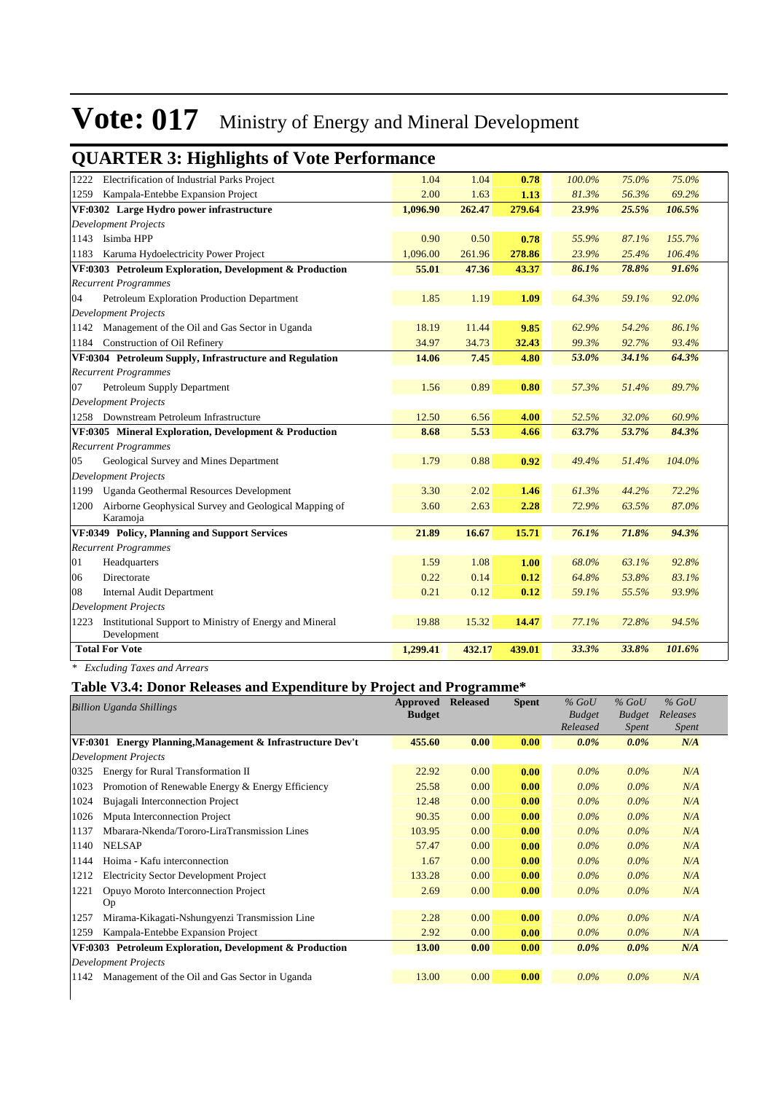|      | genne en si manisme of voie i efformance                               |          |        |        |        |       |        |
|------|------------------------------------------------------------------------|----------|--------|--------|--------|-------|--------|
|      | 1222 Electrification of Industrial Parks Project                       | 1.04     | 1.04   | 0.78   | 100.0% | 75.0% | 75.0%  |
| 1259 | Kampala-Entebbe Expansion Project                                      | 2.00     | 1.63   | 1.13   | 81.3%  | 56.3% | 69.2%  |
|      | VF:0302 Large Hydro power infrastructure                               | 1,096.90 | 262.47 | 279.64 | 23.9%  | 25.5% | 106.5% |
|      | <b>Development Projects</b>                                            |          |        |        |        |       |        |
| 1143 | Isimba HPP                                                             | 0.90     | 0.50   | 0.78   | 55.9%  | 87.1% | 155.7% |
| 1183 | Karuma Hydoelectricity Power Project                                   | 1,096.00 | 261.96 | 278.86 | 23.9%  | 25.4% | 106.4% |
|      | VF:0303 Petroleum Exploration, Development & Production                | 55.01    | 47.36  | 43.37  | 86.1%  | 78.8% | 91.6%  |
|      | <b>Recurrent Programmes</b>                                            |          |        |        |        |       |        |
| 04   | Petroleum Exploration Production Department                            | 1.85     | 1.19   | 1.09   | 64.3%  | 59.1% | 92.0%  |
|      | Development Projects                                                   |          |        |        |        |       |        |
|      | 1142 Management of the Oil and Gas Sector in Uganda                    | 18.19    | 11.44  | 9.85   | 62.9%  | 54.2% | 86.1%  |
|      | 1184 Construction of Oil Refinery                                      | 34.97    | 34.73  | 32.43  | 99.3%  | 92.7% | 93.4%  |
|      | VF:0304 Petroleum Supply, Infrastructure and Regulation                | 14.06    | 7.45   | 4.80   | 53.0%  | 34.1% | 64.3%  |
|      | <b>Recurrent Programmes</b>                                            |          |        |        |        |       |        |
| 07   | Petroleum Supply Department                                            | 1.56     | 0.89   | 0.80   | 57.3%  | 51.4% | 89.7%  |
|      | <b>Development Projects</b>                                            |          |        |        |        |       |        |
|      | 1258 Downstream Petroleum Infrastructure                               | 12.50    | 6.56   | 4.00   | 52.5%  | 32.0% | 60.9%  |
|      | VF:0305 Mineral Exploration, Development & Production                  | 8.68     | 5.53   | 4.66   | 63.7%  | 53.7% | 84.3%  |
|      | <b>Recurrent Programmes</b>                                            |          |        |        |        |       |        |
| 05   | Geological Survey and Mines Department                                 | 1.79     | 0.88   | 0.92   | 49.4%  | 51.4% | 104.0% |
|      | <b>Development Projects</b>                                            |          |        |        |        |       |        |
|      | 1199 Uganda Geothermal Resources Development                           | 3.30     | 2.02   | 1.46   | 61.3%  | 44.2% | 72.2%  |
| 1200 | Airborne Geophysical Survey and Geological Mapping of                  | 3.60     | 2.63   | 2.28   | 72.9%  | 63.5% | 87.0%  |
|      | Karamoja                                                               |          |        |        |        |       |        |
|      | VF:0349 Policy, Planning and Support Services                          | 21.89    | 16.67  | 15.71  | 76.1%  | 71.8% | 94.3%  |
|      | <b>Recurrent Programmes</b>                                            |          |        |        |        |       |        |
| 01   | Headquarters                                                           | 1.59     | 1.08   | 1.00   | 68.0%  | 63.1% | 92.8%  |
| 06   | Directorate                                                            | 0.22     | 0.14   | 0.12   | 64.8%  | 53.8% | 83.1%  |
| 08   | <b>Internal Audit Department</b>                                       | 0.21     | 0.12   | 0.12   | 59.1%  | 55.5% | 93.9%  |
|      | Development Projects                                                   |          |        |        |        |       |        |
| 1223 | Institutional Support to Ministry of Energy and Mineral<br>Development | 19.88    | 15.32  | 14.47  | 77.1%  | 72.8% | 94.5%  |
|      | <b>Total For Vote</b>                                                  | 1,299.41 | 432.17 | 439.01 | 33.3%  | 33.8% | 101.6% |
|      |                                                                        |          |        |        |        |       |        |

### **QUARTER 3: Highlights of Vote Performance**

*\* Excluding Taxes and Arrears*

### **Table V3.4: Donor Releases and Expenditure by Project and Programme\***

|      | <b>Billion Uganda Shillings</b>                            | Approved<br><b>Budget</b> | -<br><b>Released</b> | <b>Spent</b> | $%$ GoU<br><b>Budget</b><br>Released | $%$ GoU<br><b>Budget</b><br><i>Spent</i> | $%$ GoU<br>Releases<br><i>Spent</i> |
|------|------------------------------------------------------------|---------------------------|----------------------|--------------|--------------------------------------|------------------------------------------|-------------------------------------|
|      | VF:0301 Energy Planning, Management & Infrastructure Dev't | 455.60                    | 0.00                 | 0.00         | $0.0\%$                              | $0.0\%$                                  | N/A                                 |
|      | Development Projects                                       |                           |                      |              |                                      |                                          |                                     |
| 0325 | Energy for Rural Transformation II                         | 22.92                     | 0.00                 | 0.00         | $0.0\%$                              | $0.0\%$                                  | N/A                                 |
| 1023 | Promotion of Renewable Energy & Energy Efficiency          | 25.58                     | 0.00                 | 0.00         | $0.0\%$                              | $0.0\%$                                  | N/A                                 |
| 1024 | Bujagali Interconnection Project                           | 12.48                     | 0.00                 | 0.00         | $0.0\%$                              | $0.0\%$                                  | N/A                                 |
| 1026 | Mputa Interconnection Project                              | 90.35                     | 0.00                 | 0.00         | $0.0\%$                              | $0.0\%$                                  | N/A                                 |
| 1137 | Mbarara-Nkenda/Tororo-LiraTransmission Lines               | 103.95                    | 0.00                 | 0.00         | $0.0\%$                              | $0.0\%$                                  | N/A                                 |
| 1140 | <b>NELSAP</b>                                              | 57.47                     | 0.00                 | 0.00         | $0.0\%$                              | $0.0\%$                                  | N/A                                 |
| 1144 | Hoima - Kafu interconnection                               | 1.67                      | 0.00                 | 0.00         | $0.0\%$                              | $0.0\%$                                  | N/A                                 |
| 1212 | <b>Electricity Sector Development Project</b>              | 133.28                    | 0.00                 | 0.00         | $0.0\%$                              | $0.0\%$                                  | N/A                                 |
| 1221 | Opuyo Moroto Interconnection Project                       | 2.69                      | 0.00                 | 0.00         | $0.0\%$                              | $0.0\%$                                  | N/A                                 |
|      | Op                                                         |                           |                      |              |                                      |                                          |                                     |
| 1257 | Mirama-Kikagati-Nshungyenzi Transmission Line              | 2.28                      | 0.00                 | 0.00         | $0.0\%$                              | $0.0\%$                                  | N/A                                 |
| 1259 | Kampala-Entebbe Expansion Project                          | 2.92                      | 0.00                 | 0.00         | $0.0\%$                              | $0.0\%$                                  | N/A                                 |
|      | VF:0303 Petroleum Exploration, Development & Production    | 13.00                     | 0.00                 | 0.00         | $0.0\%$                              | $0.0\%$                                  | N/A                                 |
|      | Development Projects                                       |                           |                      |              |                                      |                                          |                                     |
| 1142 | Management of the Oil and Gas Sector in Uganda             | 13.00                     | 0.00                 | 0.00         | $0.0\%$                              | $0.0\%$                                  | N/A                                 |
|      |                                                            |                           |                      |              |                                      |                                          |                                     |